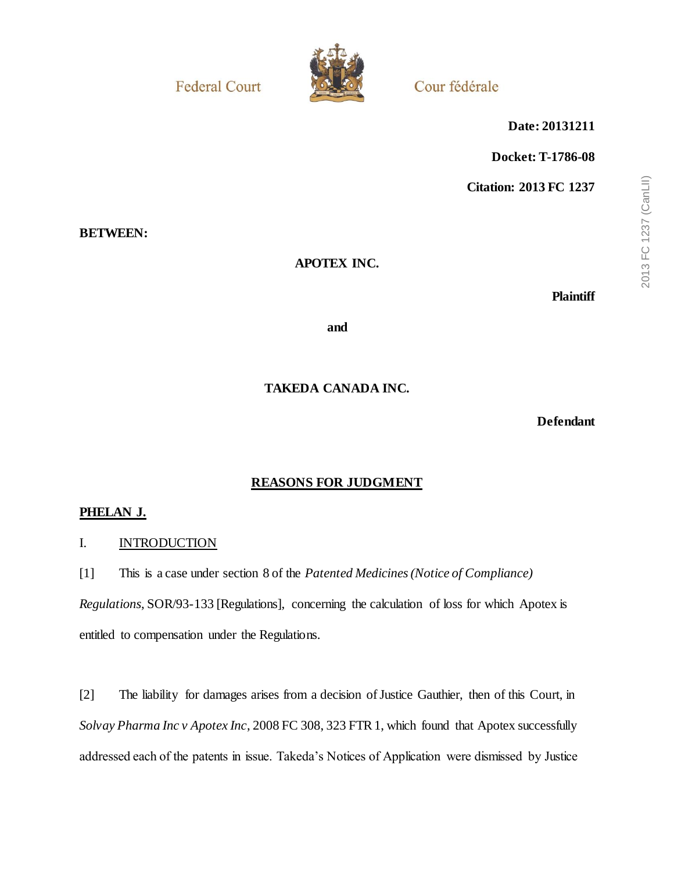**Federal Court** 



Cour fédérale

**Date: 20131211**

**Docket: T-1786-08**

**Citation: 2013 FC 1237**

## **BETWEEN:**

## **APOTEX INC.**

**Plaintiff**

**and**

## **TAKEDA CANADA INC.**

**Defendant**

## **REASONS FOR JUDGMENT**

### **PHELAN J.**

### I. INTRODUCTION

[1] This is a case under section 8 of the *Patented Medicines (Notice of Compliance)* 

*Regulations*, SOR/93-133 [Regulations], concerning the calculation of loss for which Apotex is entitled to compensation under the Regulations.

[2] The liability for damages arises from a decision of Justice Gauthier, then of this Court, in *Solvay Pharma Inc v Apotex Inc*, 2008 FC 308, 323 FTR 1, which found that Apotex successfully addressed each of the patents in issue. Takeda's Notices of Application were dismissed by Justice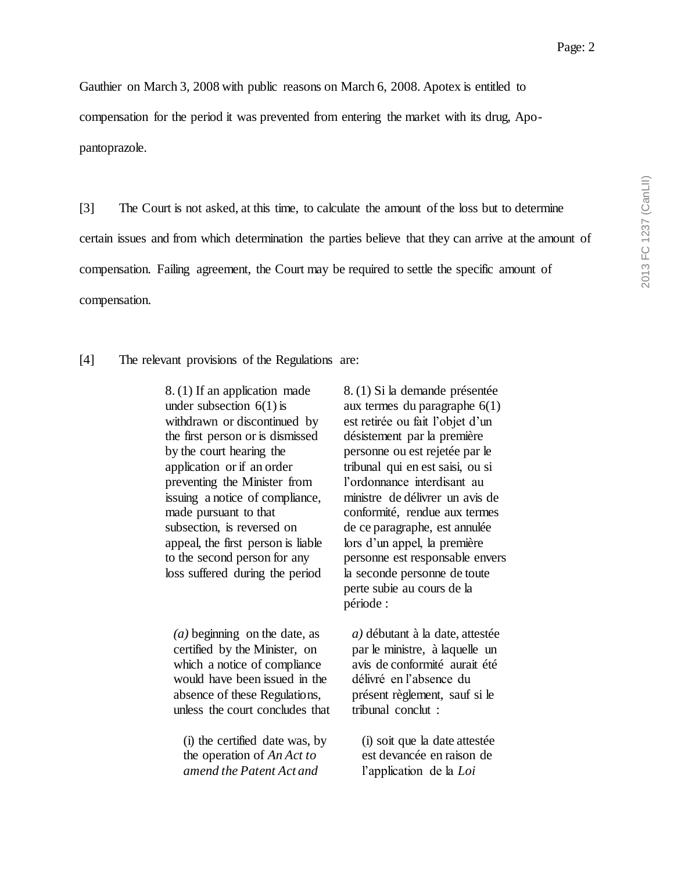Gauthier on March 3, 2008 with public reasons on March 6, 2008. Apotex is entitled to compensation for the period it was prevented from entering the market with its drug, Apopantoprazole.

[3] The Court is not asked, at this time, to calculate the amount of the loss but to determine certain issues and from which determination the parties believe that they can arrive at the amount of compensation. Failing agreement, the Court may be required to settle the specific amount of compensation.

[4] The relevant provisions of the Regulations are:

8. (1) If an application made under subsection  $6(1)$  is withdrawn or discontinued by the first person or is dismissed by the court hearing the application or if an order preventing the Minister from issuing a notice of compliance, made pursuant to that subsection, is reversed on appeal, the first person is liable to the second person for any loss suffered during the period

*(a)* beginning on the date, as certified by the Minister, on which a notice of compliance would have been issued in the absence of these Regulations, unless the court concludes that

(i) the certified date was, by the operation of *An Act to amend the Patent Act and* 

8. (1) Si la demande présentée aux termes du paragraphe 6(1) est retirée ou fait l'objet d'un désistement par la première personne ou est rejetée par le tribunal qui en est saisi, ou si l'ordonnance interdisant au ministre de délivrer un avis de conformité, rendue aux termes de ce paragraphe, est annulée lors d'un appel, la première personne est responsable envers la seconde personne de toute perte subie au cours de la période :

*a)* débutant à la date, attestée par le ministre, à laquelle un avis de conformité aurait été délivré en l'absence du présent règlement, sauf si le tribunal conclut :

(i) soit que la date attestée est devancée en raison de l'application de la *Loi*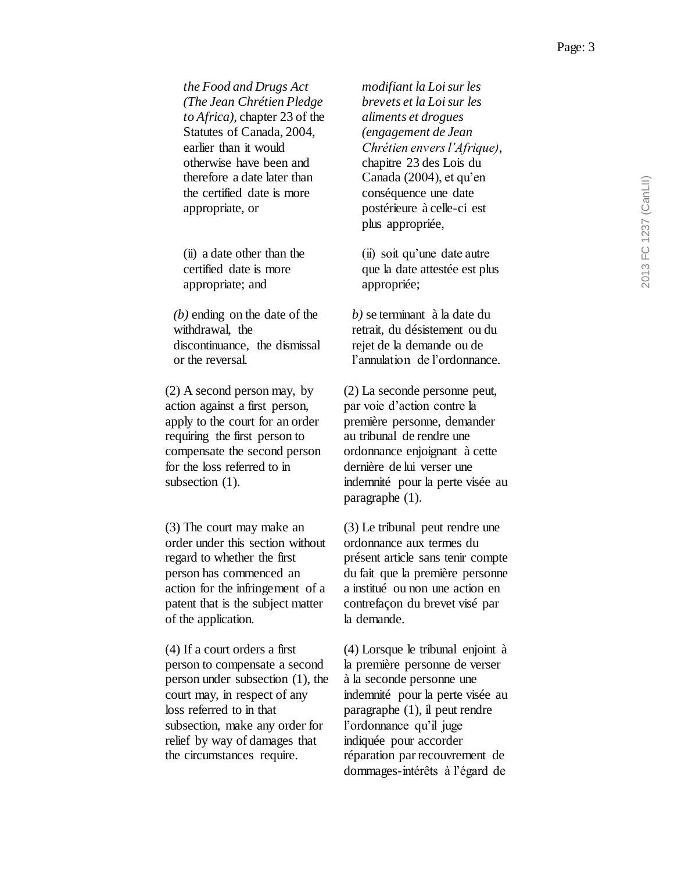*the Food and Drugs Act (The Jean Chrétien Pledge to Africa)*, chapter 23 of the Statutes of Canada, 2004, earlier than it would otherwise have been and therefore a date later than the certified date is more appropriate, or

(ii) a date other than the certified date is more appropriate; and

*(b)* ending on the date of the withdrawal, the discontinuance, the dismissal or the reversal.

(2) A second person may, by action against a first person, apply to the court for an order requiring the first person to compensate the second person for the loss referred to in subsection (1).

(3) The court may make an order under this section without regard to whether the first person has commenced an action for the infringement of a patent that is the subject matter of the application.

(4) If a court orders a first person to compensate a second person under subsection (1), the court may, in respect of any loss referred to in that subsection, make any order for relief by way of damages that the circumstances require.

*modifiant la Loi sur les brevets et la Loi sur les aliments et drogues (engagement de Jean Chrétien envers l'Afrique)*, chapitre 23 des Lois du Canada (2004), et qu'en conséquence une date postérieure à celle-ci est plus appropriée,

(ii) soit qu'une date autre que la date attestée est plus appropriée;

*b)* se terminant à la date du retrait, du désistement ou du rejet de la demande ou de l'annulation de l'ordonnance.

(2) La seconde personne peut, par voie d'action contre la première personne, demander au tribunal de rendre une ordonnance enjoignant à cette dernière de lui verser une indemnité pour la perte visée au paragraphe (1).

(3) Le tribunal peut rendre une ordonnance aux termes du présent article sans tenir compte du fait que la première personne a institué ou non une action en contrefaçon du brevet visé par la demande.

(4) Lorsque le tribunal enjoint à la première personne de verser à la seconde personne une indemnité pour la perte visée au paragraphe (1), il peut rendre l'ordonnance qu'il juge indiquée pour accorder réparation par recouvrement de dommages-intérêts à l'égard de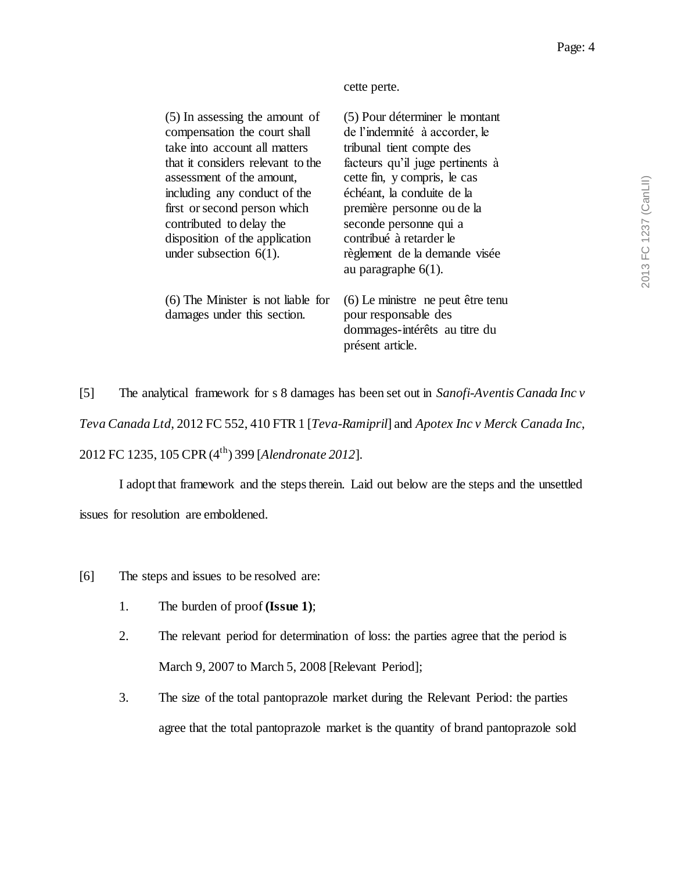cette perte.

| (5) In assessing the amount of<br>compensation the court shall<br>take into account all matters<br>that it considers relevant to the<br>assessment of the amount,<br>including any conduct of the<br>first or second person which<br>contributed to delay the<br>disposition of the application<br>under subsection $6(1)$ . | (5) Pour déterminer le montant<br>de l'indemnité à accorder, le<br>tribunal tient compte des<br>facteurs qu'il juge pertinents à<br>cette fin, y compris, le cas<br>échéant, la conduite de la<br>première personne ou de la<br>seconde personne qui a<br>contribué à retarder le<br>règlement de la demande visée<br>au paragraphe $6(1)$ . |
|------------------------------------------------------------------------------------------------------------------------------------------------------------------------------------------------------------------------------------------------------------------------------------------------------------------------------|----------------------------------------------------------------------------------------------------------------------------------------------------------------------------------------------------------------------------------------------------------------------------------------------------------------------------------------------|
| $(6)$ The Minister is not liable for<br>damages under this section.                                                                                                                                                                                                                                                          | (6) Le ministre ne peut être tenu<br>pour responsable des<br>dommages-intérêts au titre du<br>présent article.                                                                                                                                                                                                                               |

[5] The analytical framework for s 8 damages has been set out in *Sanofi-Aventis Canada Inc v Teva Canada Ltd*, 2012 FC 552, 410 FTR 1 [*Teva-Ramipril*] and *Apotex Inc v Merck Canada Inc*, 2012 FC 1235, 105 CPR (4th) 399 [*Alendronate 2012*].

I adopt that framework and the steps therein. Laid out below are the steps and the unsettled issues for resolution are emboldened.

- [6] The steps and issues to be resolved are:
	- 1. The burden of proof **(Issue 1)**;
	- 2. The relevant period for determination of loss: the parties agree that the period is March 9, 2007 to March 5, 2008 [Relevant Period];
	- 3. The size of the total pantoprazole market during the Relevant Period: the parties agree that the total pantoprazole market is the quantity of brand pantoprazole sold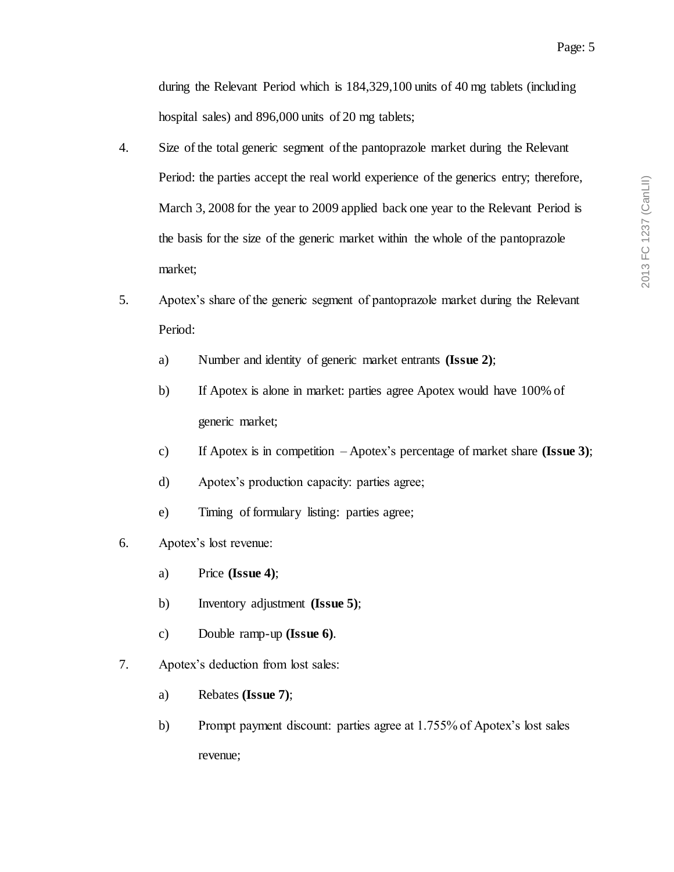during the Relevant Period which is 184,329,100 units of 40 mg tablets (including hospital sales) and 896,000 units of 20 mg tablets;

- 4. Size of the total generic segment of the pantoprazole market during the Relevant Period: the parties accept the real world experience of the generics entry; therefore, March 3, 2008 for the year to 2009 applied back one year to the Relevant Period is the basis for the size of the generic market within the whole of the pantoprazole market;
- 5. Apotex's share of the generic segment of pantoprazole market during the Relevant Period:
	- a) Number and identity of generic market entrants **(Issue 2)**;
	- b) If Apotex is alone in market: parties agree Apotex would have 100% of generic market;
	- c) If Apotex is in competition Apotex's percentage of market share **(Issue 3)**;
	- d) Apotex's production capacity: parties agree;
	- e) Timing of formulary listing: parties agree;
- 6. Apotex's lost revenue:
	- a) Price **(Issue 4)**;
	- b) Inventory adjustment **(Issue 5)**;
	- c) Double ramp-up **(Issue 6)**.
- 7. Apotex's deduction from lost sales:
	- a) Rebates **(Issue 7)**;
	- b) Prompt payment discount: parties agree at 1.755% of Apotex's lost sales revenue;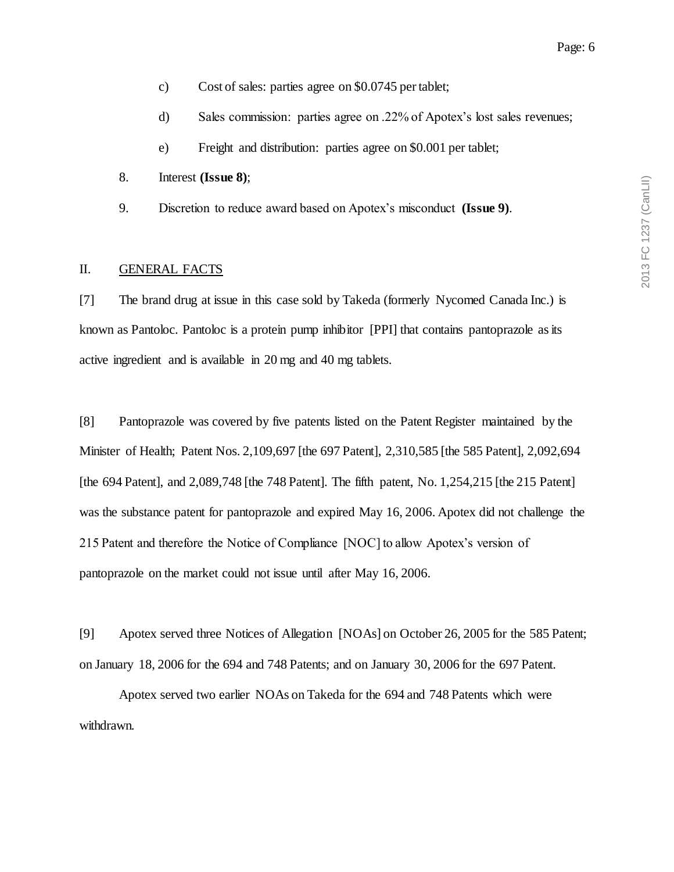- c) Cost of sales: parties agree on \$0.0745 per tablet;
- d) Sales commission: parties agree on .22% of Apotex's lost sales revenues;
- e) Freight and distribution: parties agree on \$0.001 per tablet;
- 8. Interest **(Issue 8)**;
- 9. Discretion to reduce award based on Apotex's misconduct **(Issue 9)**.

## II. GENERAL FACTS

[7] The brand drug at issue in this case sold by Takeda (formerly Nycomed Canada Inc.) is known as Pantoloc. Pantoloc is a protein pump inhibitor [PPI] that contains pantoprazole as its active ingredient and is available in 20 mg and 40 mg tablets.

[8] Pantoprazole was covered by five patents listed on the Patent Register maintained by the Minister of Health; Patent Nos. 2,109,697 [the 697 Patent], 2,310,585 [the 585 Patent], 2,092,694 [the 694 Patent], and 2,089,748 [the 748 Patent]. The fifth patent, No. 1,254,215 [the 215 Patent] was the substance patent for pantoprazole and expired May 16, 2006. Apotex did not challenge the 215 Patent and therefore the Notice of Compliance [NOC] to allow Apotex's version of pantoprazole on the market could not issue until after May 16, 2006.

[9] Apotex served three Notices of Allegation [NOAs] on October 26, 2005 for the 585 Patent; on January 18, 2006 for the 694 and 748 Patents; and on January 30, 2006 for the 697 Patent.

Apotex served two earlier NOAs on Takeda for the 694 and 748 Patents which were withdrawn.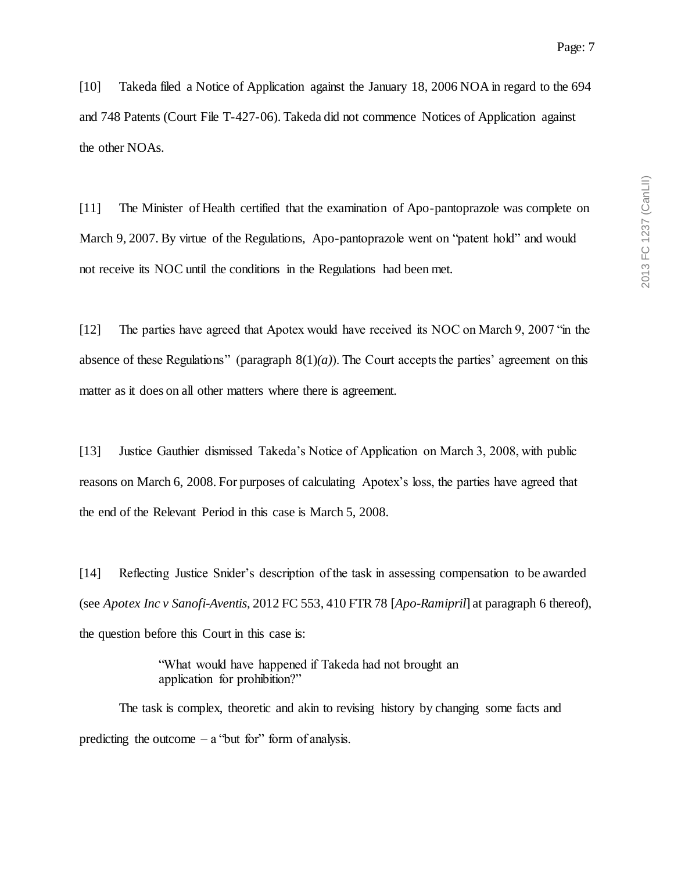[10] Takeda filed a Notice of Application against the January 18, 2006 NOA in regard to the 694 and 748 Patents (Court File T-427-06). Takeda did not commence Notices of Application against the other NOAs.

[11] The Minister of Health certified that the examination of Apo-pantoprazole was complete on March 9, 2007. By virtue of the Regulations, Apo-pantoprazole went on "patent hold" and would not receive its NOC until the conditions in the Regulations had been met.

[12] The parties have agreed that Apotex would have received its NOC on March 9, 2007 "in the absence of these Regulations" (paragraph  $8(1)(a)$ ). The Court accepts the parties' agreement on this matter as it does on all other matters where there is agreement.

[13] Justice Gauthier dismissed Takeda's Notice of Application on March 3, 2008, with public reasons on March 6, 2008. For purposes of calculating Apotex's loss, the parties have agreed that the end of the Relevant Period in this case is March 5, 2008.

[14] Reflecting Justice Snider's description of the task in assessing compensation to be awarded (see *Apotex Inc v Sanofi-Aventis*, 2012 FC 553, 410 FTR 78 [*Apo-Ramipril*] at paragraph 6 thereof), the question before this Court in this case is:

> "What would have happened if Takeda had not brought an application for prohibition?"

The task is complex, theoretic and akin to revising history by changing some facts and predicting the outcome  $-$  a "but for" form of analysis.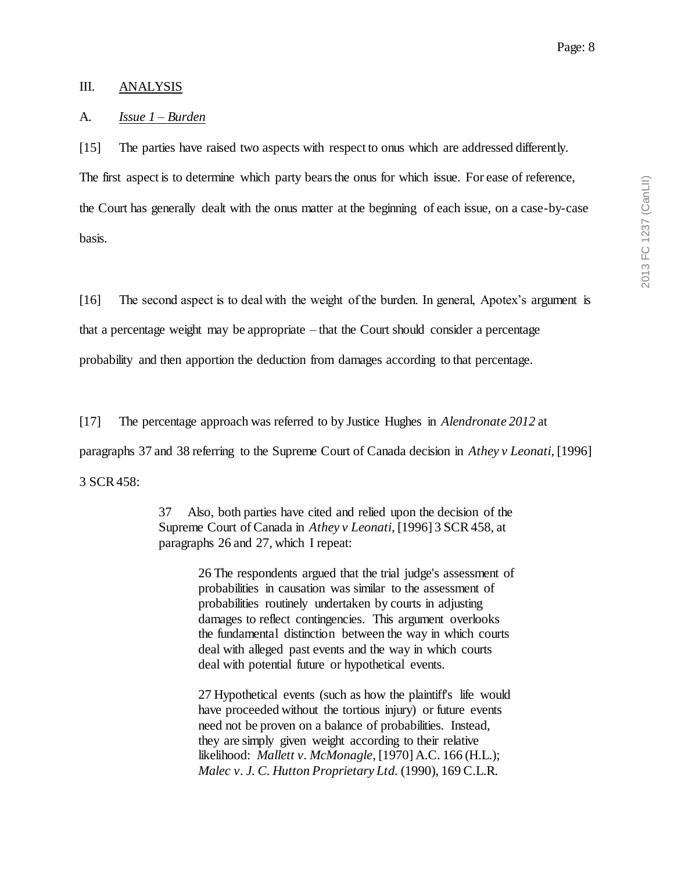#### III. ANALYSIS

### A. *Issue 1 – Burden*

[15] The parties have raised two aspects with respect to onus which are addressed differently.

The first aspect is to determine which party bears the onus for which issue. For ease of reference, the Court has generally dealt with the onus matter at the beginning of each issue, on a case-by-case basis.

[16] The second aspect is to deal with the weight of the burden. In general, Apotex's argument is that a percentage weight may be appropriate – that the Court should consider a percentage probability and then apportion the deduction from damages according to that percentage.

[17] The percentage approach was referred to by Justice Hughes in *Alendronate 2012* at paragraphs 37 and 38 referring to the Supreme Court of Canada decision in *Athey v Leonati*, [1996] 3 SCR 458:

> 37 Also, both parties have cited and relied upon the decision of the Supreme Court of Canada in *Athey v Leonati*, [1996] 3 SCR 458, at paragraphs 26 and 27, which I repeat:

> > 26 The respondents argued that the trial judge's assessment of probabilities in causation was similar to the assessment of probabilities routinely undertaken by courts in adjusting damages to reflect contingencies. This argument overlooks the fundamental distinction between the way in which courts deal with alleged past events and the way in which courts deal with potential future or hypothetical events.

27 Hypothetical events (such as how the plaintiff's life would have proceeded without the tortious injury) or future events need not be proven on a balance of probabilities. Instead, they are simply given weight according to their relative likelihood: *Mallett v. McMonagle*, [1970] A.C. 166 (H.L.); *Malec v. J. C. Hutton Proprietary Ltd.* (1990), 169 C.L.R.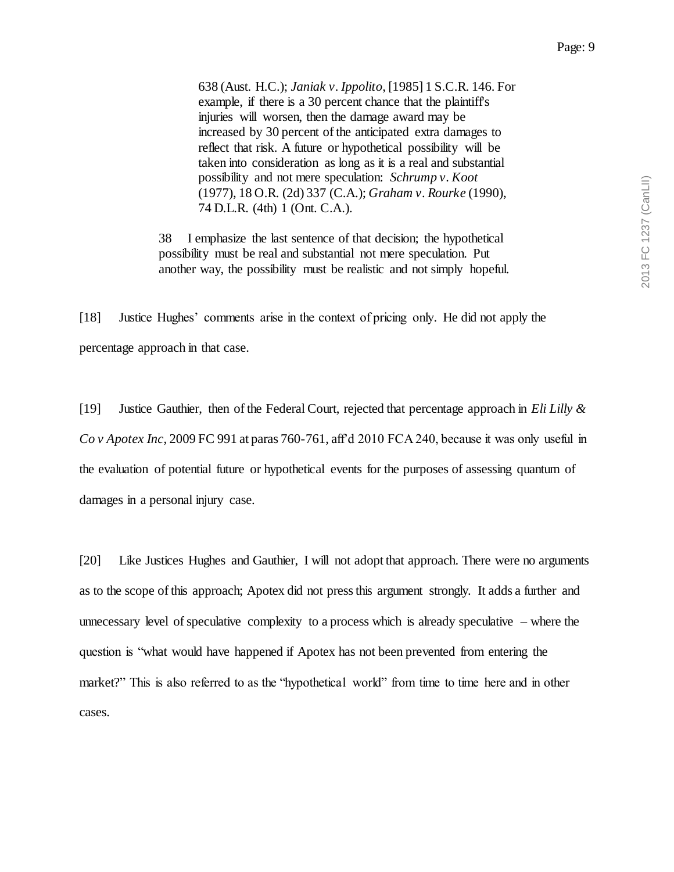638 (Aust. H.C.); *Janiak v. Ippolito*, [1985] 1 S.C.R. 146. For example, if there is a 30 percent chance that the plaintiff's injuries will worsen, then the damage award may be increased by 30 percent of the anticipated extra damages to reflect that risk. A future or hypothetical possibility will be taken into consideration as long as it is a real and substantial possibility and not mere speculation: *Schrump v. Koot* (1977), 18 O.R. (2d) 337 (C.A.); *Graham v. Rourke* (1990), 74 D.L.R. (4th) 1 (Ont. C.A.).

38 I emphasize the last sentence of that decision; the hypothetical possibility must be real and substantial not mere speculation. Put another way, the possibility must be realistic and not simply hopeful.

[18] Justice Hughes' comments arise in the context of pricing only. He did not apply the percentage approach in that case.

[19] Justice Gauthier, then of the Federal Court, rejected that percentage approach in *Eli Lilly & Co v Apotex Inc*, 2009 FC 991 at paras 760-761, aff'd 2010 FCA 240, because it was only useful in the evaluation of potential future or hypothetical events for the purposes of assessing quantum of damages in a personal injury case.

[20] Like Justices Hughes and Gauthier, I will not adopt that approach. There were no arguments as to the scope of this approach; Apotex did not press this argument strongly. It adds a further and unnecessary level of speculative complexity to a process which is already speculative – where the question is "what would have happened if Apotex has not been prevented from entering the market?" This is also referred to as the "hypothetical world" from time to time here and in other cases.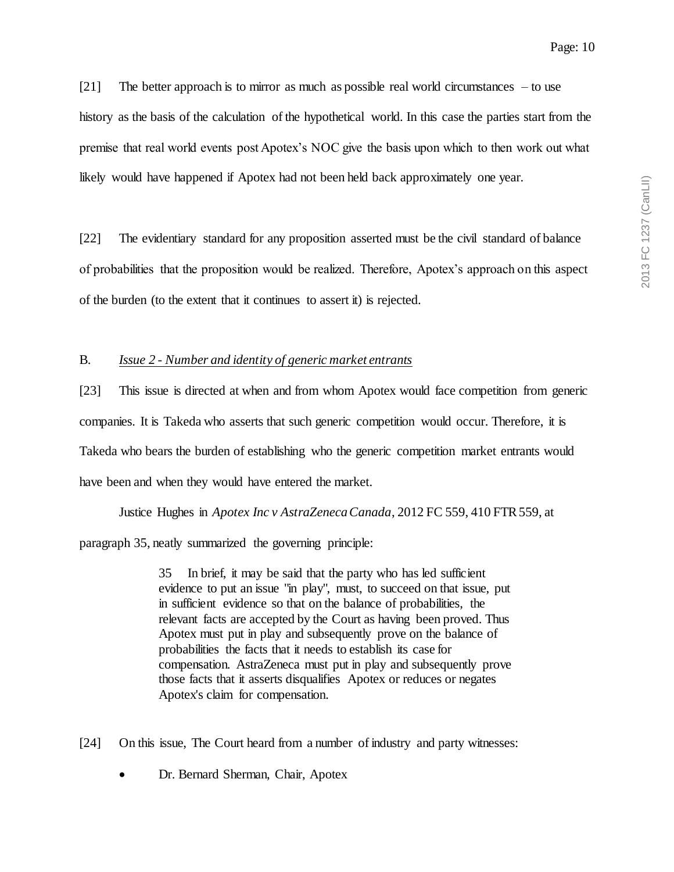[21] The better approach is to mirror as much as possible real world circumstances – to use history as the basis of the calculation of the hypothetical world. In this case the parties start from the premise that real world events post Apotex's NOC give the basis upon which to then work out what likely would have happened if Apotex had not been held back approximately one year.

[22] The evidentiary standard for any proposition asserted must be the civil standard of balance of probabilities that the proposition would be realized. Therefore, Apotex's approach on this aspect of the burden (to the extent that it continues to assert it) is rejected.

## B. *Issue 2 - Number and identity of generic market entrants*

[23] This issue is directed at when and from whom Apotex would face competition from generic companies. It is Takeda who asserts that such generic competition would occur. Therefore, it is Takeda who bears the burden of establishing who the generic competition market entrants would have been and when they would have entered the market.

Justice Hughes in *Apotex Inc v AstraZeneca Canada*, 2012 FC 559, 410 FTR 559, at paragraph 35, neatly summarized the governing principle:

> 35 In brief, it may be said that the party who has led sufficient evidence to put an issue "in play", must, to succeed on that issue, put in sufficient evidence so that on the balance of probabilities, the relevant facts are accepted by the Court as having been proved. Thus Apotex must put in play and subsequently prove on the balance of probabilities the facts that it needs to establish its case for compensation. AstraZeneca must put in play and subsequently prove those facts that it asserts disqualifies Apotex or reduces or negates Apotex's claim for compensation.

[24] On this issue, The Court heard from a number of industry and party witnesses:

Dr. Bernard Sherman, Chair, Apotex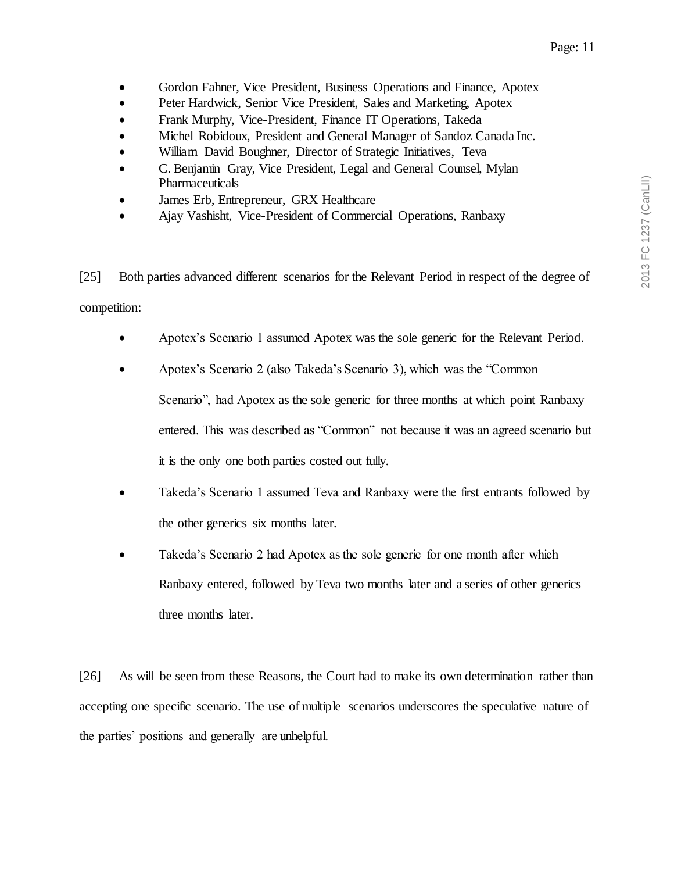- Gordon Fahner, Vice President, Business Operations and Finance, Apotex
- Peter Hardwick, Senior Vice President, Sales and Marketing, Apotex
- Frank Murphy, Vice-President, Finance IT Operations, Takeda
- Michel Robidoux, President and General Manager of Sandoz Canada Inc.
- William David Boughner, Director of Strategic Initiatives, Teva
- C. Benjamin Gray, Vice President, Legal and General Counsel, Mylan Pharmaceuticals
- James Erb, Entrepreneur, GRX Healthcare
- Ajay Vashisht, Vice-President of Commercial Operations, Ranbaxy

[25] Both parties advanced different scenarios for the Relevant Period in respect of the degree of competition:

- Apotex's Scenario 1 assumed Apotex was the sole generic for the Relevant Period.
- Apotex's Scenario 2 (also Takeda's Scenario 3), which was the "Common Scenario", had Apotex as the sole generic for three months at which point Ranbaxy entered. This was described as "Common" not because it was an agreed scenario but it is the only one both parties costed out fully.
- Takeda's Scenario 1 assumed Teva and Ranbaxy were the first entrants followed by the other generics six months later.
- Takeda's Scenario 2 had Apotex as the sole generic for one month after which Ranbaxy entered, followed by Teva two months later and a series of other generics three months later.

[26] As will be seen from these Reasons, the Court had to make its own determination rather than accepting one specific scenario. The use of multiple scenarios underscores the speculative nature of the parties' positions and generally are unhelpful.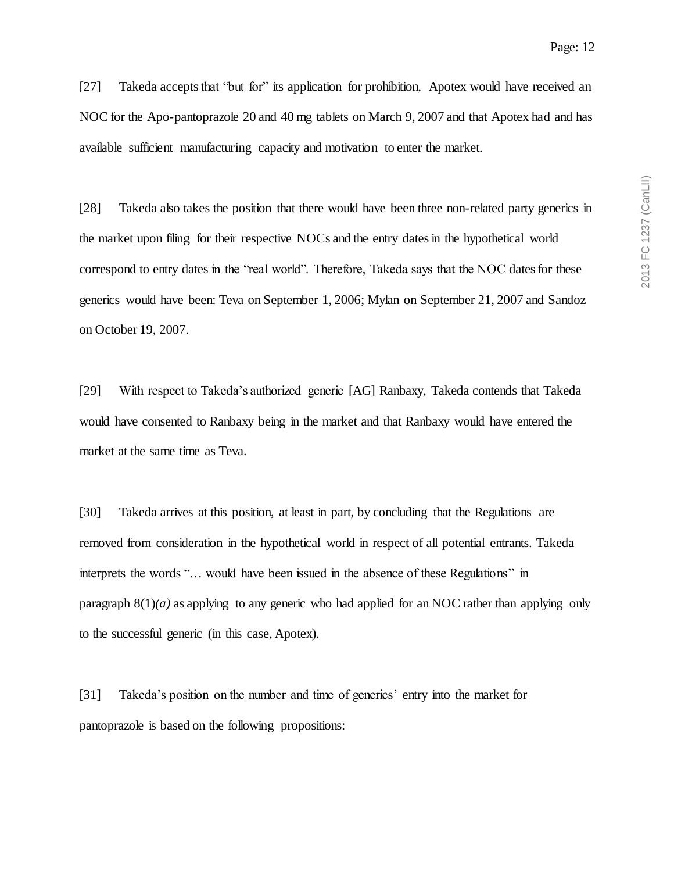[27] Takeda acceptsthat "but for" its application for prohibition, Apotex would have received an NOC for the Apo-pantoprazole 20 and 40 mg tablets on March 9, 2007 and that Apotex had and has available sufficient manufacturing capacity and motivation to enter the market.

[28] Takeda also takes the position that there would have been three non-related party generics in the market upon filing for their respective NOCs and the entry dates in the hypothetical world correspond to entry dates in the "real world". Therefore, Takeda says that the NOC dates for these generics would have been: Teva on September 1, 2006; Mylan on September 21, 2007 and Sandoz on October 19, 2007.

[29] With respect to Takeda's authorized generic [AG] Ranbaxy, Takeda contends that Takeda would have consented to Ranbaxy being in the market and that Ranbaxy would have entered the market at the same time as Teva.

[30] Takeda arrives at this position, at least in part, by concluding that the Regulations are removed from consideration in the hypothetical world in respect of all potential entrants. Takeda interprets the words "… would have been issued in the absence of these Regulations" in paragraph  $8(1)(a)$  as applying to any generic who had applied for an NOC rather than applying only to the successful generic (in this case, Apotex).

[31] Takeda's position on the number and time of generics' entry into the market for pantoprazole is based on the following propositions: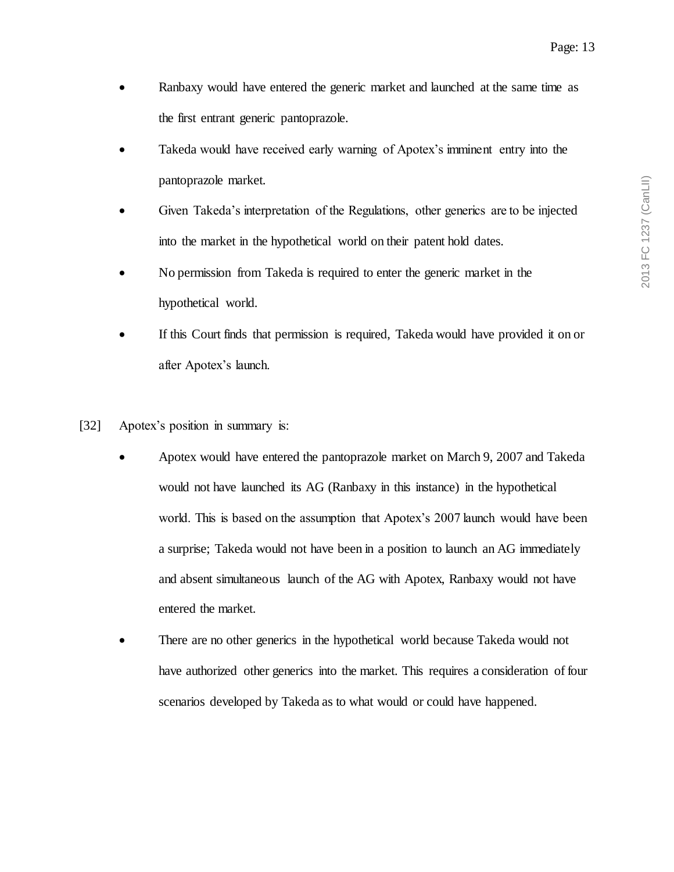- Ranbaxy would have entered the generic market and launched at the same time as the first entrant generic pantoprazole.
- Takeda would have received early warning of Apotex's imminent entry into the pantoprazole market.
- Given Takeda's interpretation of the Regulations, other generics are to be injected into the market in the hypothetical world on their patent hold dates.
- No permission from Takeda is required to enter the generic market in the hypothetical world.
- If this Court finds that permission is required, Takeda would have provided it on or after Apotex's launch.
- [32] Apotex's position in summary is:
	- Apotex would have entered the pantoprazole market on March 9, 2007 and Takeda would not have launched its AG (Ranbaxy in this instance) in the hypothetical world. This is based on the assumption that Apotex's 2007 launch would have been a surprise; Takeda would not have been in a position to launch an AG immediately and absent simultaneous launch of the AG with Apotex, Ranbaxy would not have entered the market.
	- There are no other generics in the hypothetical world because Takeda would not have authorized other generics into the market. This requires a consideration of four scenarios developed by Takeda as to what would or could have happened.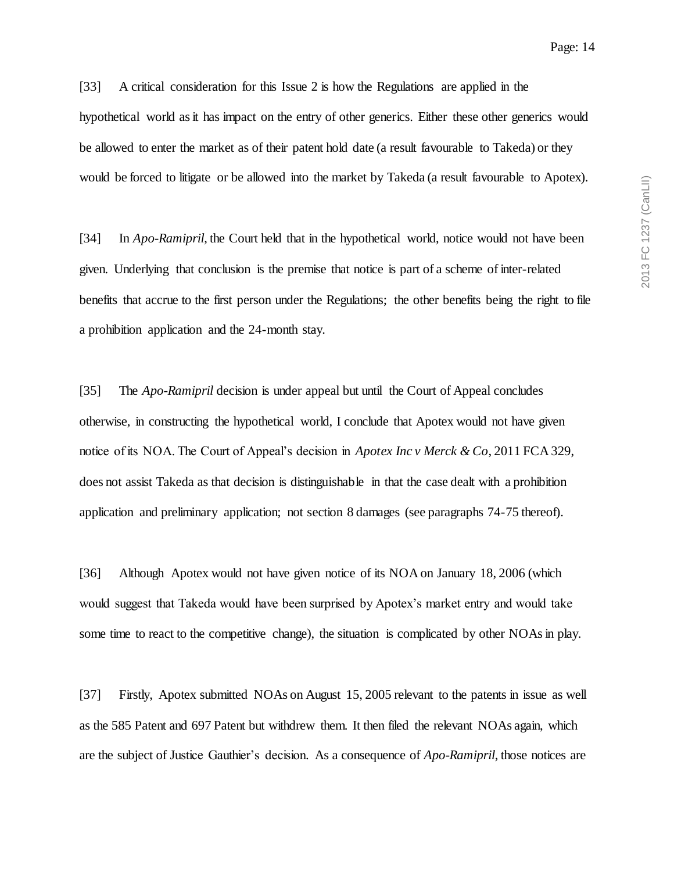[33] A critical consideration for this Issue 2 is how the Regulations are applied in the hypothetical world as it has impact on the entry of other generics. Either these other generics would be allowed to enter the market as of their patent hold date (a result favourable to Takeda) or they would be forced to litigate or be allowed into the market by Takeda (a result favourable to Apotex).

[34] In *Apo-Ramipril*, the Court held that in the hypothetical world, notice would not have been given. Underlying that conclusion is the premise that notice is part of a scheme of inter-related benefits that accrue to the first person under the Regulations; the other benefits being the right to file a prohibition application and the 24-month stay.

[35] The *Apo-Ramipril* decision is under appeal but until the Court of Appeal concludes otherwise, in constructing the hypothetical world, I conclude that Apotex would not have given notice of its NOA. The Court of Appeal's decision in *Apotex Inc v Merck & Co*, 2011 FCA 329, does not assist Takeda as that decision is distinguishable in that the case dealt with a prohibition application and preliminary application; not section 8 damages (see paragraphs 74-75 thereof).

[36] Although Apotex would not have given notice of its NOA on January 18, 2006 (which would suggest that Takeda would have been surprised by Apotex's market entry and would take some time to react to the competitive change), the situation is complicated by other NOAs in play.

[37] Firstly, Apotex submitted NOAs on August 15, 2005 relevant to the patents in issue as well as the 585 Patent and 697 Patent but withdrew them. It then filed the relevant NOAs again, which are the subject of Justice Gauthier's decision. As a consequence of *Apo-Ramipril*, those notices are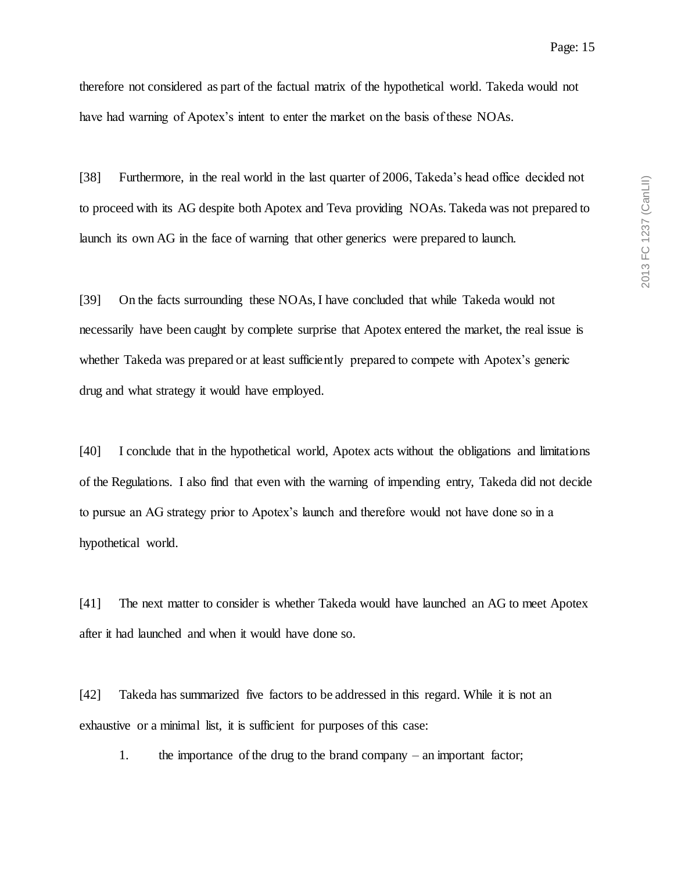therefore not considered as part of the factual matrix of the hypothetical world. Takeda would not have had warning of Apotex's intent to enter the market on the basis of these NOAs.

[38] Furthermore, in the real world in the last quarter of 2006, Takeda's head office decided not to proceed with its AG despite both Apotex and Teva providing NOAs. Takeda was not prepared to launch its own AG in the face of warning that other generics were prepared to launch.

[39] On the facts surrounding these NOAs, I have concluded that while Takeda would not necessarily have been caught by complete surprise that Apotex entered the market, the real issue is whether Takeda was prepared or at least sufficiently prepared to compete with Apotex's generic drug and what strategy it would have employed.

[40] I conclude that in the hypothetical world, Apotex acts without the obligations and limitations of the Regulations. I also find that even with the warning of impending entry, Takeda did not decide to pursue an AG strategy prior to Apotex's launch and therefore would not have done so in a hypothetical world.

[41] The next matter to consider is whether Takeda would have launched an AG to meet Apotex after it had launched and when it would have done so.

[42] Takeda has summarized five factors to be addressed in this regard. While it is not an exhaustive or a minimal list, it is sufficient for purposes of this case:

1. the importance of the drug to the brand company – an important factor;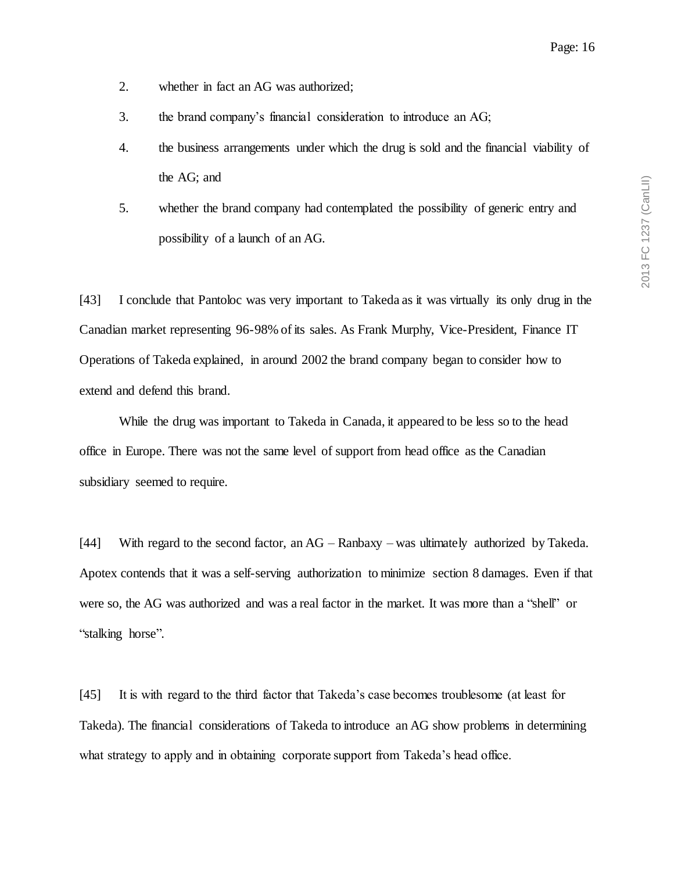- 2. whether in fact an AG was authorized;
- 3. the brand company's financial consideration to introduce an AG;
- 4. the business arrangements under which the drug is sold and the financial viability of the AG; and
- 5. whether the brand company had contemplated the possibility of generic entry and possibility of a launch of an AG.

[43] I conclude that Pantoloc was very important to Takeda as it was virtually its only drug in the Canadian market representing 96-98% of its sales. As Frank Murphy, Vice-President, Finance IT Operations of Takeda explained, in around 2002 the brand company began to consider how to extend and defend this brand.

While the drug was important to Takeda in Canada, it appeared to be less so to the head office in Europe. There was not the same level of support from head office as the Canadian subsidiary seemed to require.

[44] With regard to the second factor, an AG – Ranbaxy – was ultimately authorized by Takeda. Apotex contends that it was a self-serving authorization to minimize section 8 damages. Even if that were so, the AG was authorized and was a real factor in the market. It was more than a "shell" or "stalking horse".

[45] It is with regard to the third factor that Takeda's case becomes troublesome (at least for Takeda). The financial considerations of Takeda to introduce an AG show problems in determining what strategy to apply and in obtaining corporate support from Takeda's head office.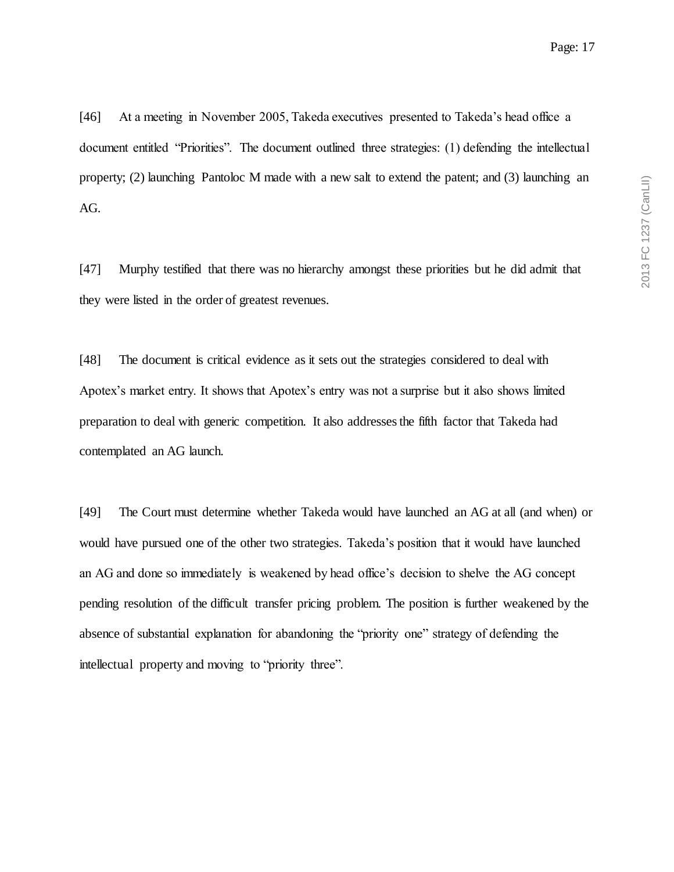[46] At a meeting in November 2005, Takeda executives presented to Takeda's head office a document entitled "Priorities". The document outlined three strategies: (1) defending the intellectual property; (2) launching Pantoloc M made with a new salt to extend the patent; and (3) launching an AG.

[47] Murphy testified that there was no hierarchy amongst these priorities but he did admit that they were listed in the order of greatest revenues.

[48] The document is critical evidence as it sets out the strategies considered to deal with Apotex's market entry. It shows that Apotex's entry was not a surprise but it also shows limited preparation to deal with generic competition. It also addresses the fifth factor that Takeda had contemplated an AG launch.

[49] The Court must determine whether Takeda would have launched an AG at all (and when) or would have pursued one of the other two strategies. Takeda's position that it would have launched an AG and done so immediately is weakened by head office's decision to shelve the AG concept pending resolution of the difficult transfer pricing problem. The position is further weakened by the absence of substantial explanation for abandoning the "priority one" strategy of defending the intellectual property and moving to "priority three".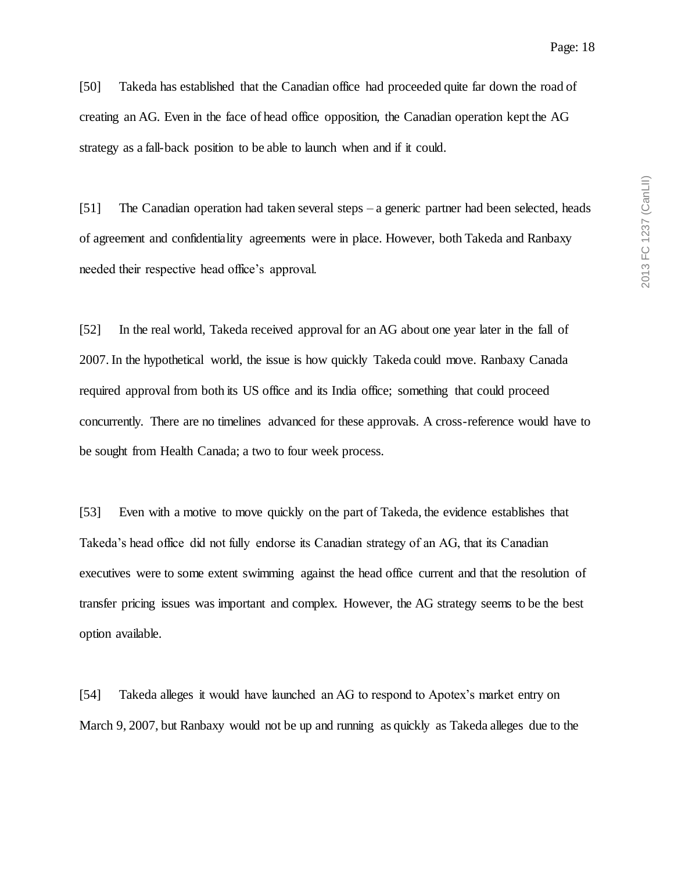[50] Takeda has established that the Canadian office had proceeded quite far down the road of creating an AG. Even in the face of head office opposition, the Canadian operation kept the AG strategy as a fall-back position to be able to launch when and if it could.

[51] The Canadian operation had taken several steps – a generic partner had been selected, heads of agreement and confidentiality agreements were in place. However, both Takeda and Ranbaxy needed their respective head office's approval.

[52] In the real world, Takeda received approval for an AG about one year later in the fall of 2007. In the hypothetical world, the issue is how quickly Takeda could move. Ranbaxy Canada required approval from both its US office and its India office; something that could proceed concurrently. There are no timelines advanced for these approvals. A cross-reference would have to be sought from Health Canada; a two to four week process.

[53] Even with a motive to move quickly on the part of Takeda, the evidence establishes that Takeda's head office did not fully endorse its Canadian strategy of an AG, that its Canadian executives were to some extent swimming against the head office current and that the resolution of transfer pricing issues was important and complex. However, the AG strategy seems to be the best option available.

[54] Takeda alleges it would have launched an AG to respond to Apotex's market entry on March 9, 2007, but Ranbaxy would not be up and running as quickly as Takeda alleges due to the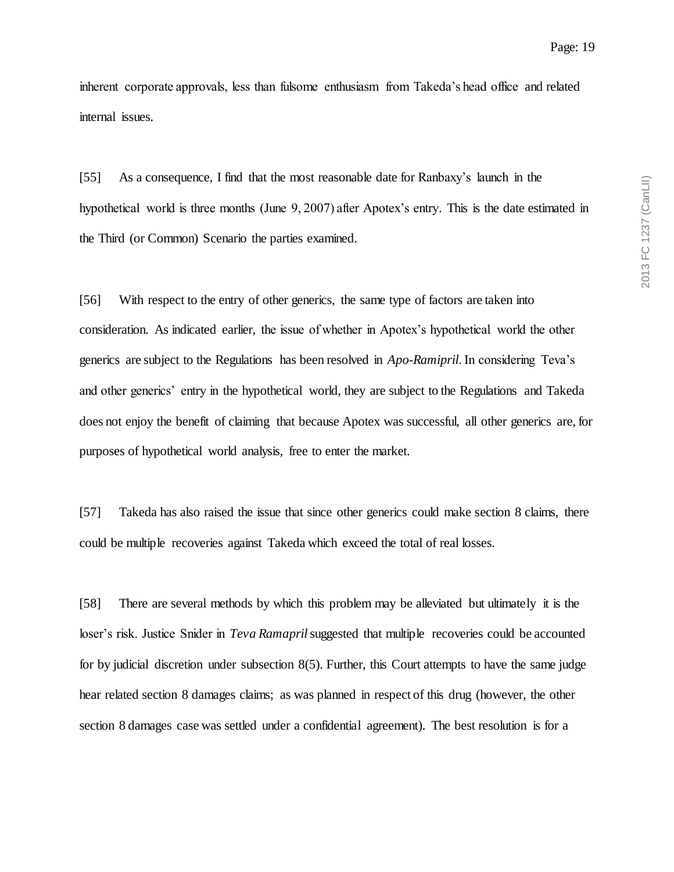inherent corporate approvals, less than fulsome enthusiasm from Takeda's head office and related internal issues.

[55] As a consequence, I find that the most reasonable date for Ranbaxy's launch in the hypothetical world is three months (June 9, 2007) after Apotex's entry. This is the date estimated in the Third (or Common) Scenario the parties examined.

[56] With respect to the entry of other generics, the same type of factors are taken into consideration. As indicated earlier, the issue of whether in Apotex's hypothetical world the other generics are subject to the Regulations has been resolved in *Apo-Ramipril*. In considering Teva's and other generics' entry in the hypothetical world, they are subject to the Regulations and Takeda does not enjoy the benefit of claiming that because Apotex was successful, all other generics are, for purposes of hypothetical world analysis, free to enter the market.

[57] Takeda has also raised the issue that since other generics could make section 8 claims, there could be multiple recoveries against Takeda which exceed the total of real losses.

[58] There are several methods by which this problem may be alleviated but ultimately it is the loser's risk. Justice Snider in *Teva Ramapril*suggested that multiple recoveries could be accounted for by judicial discretion under subsection 8(5). Further, this Court attempts to have the same judge hear related section 8 damages claims; as was planned in respect of this drug (however, the other section 8 damages case was settled under a confidential agreement). The best resolution is for a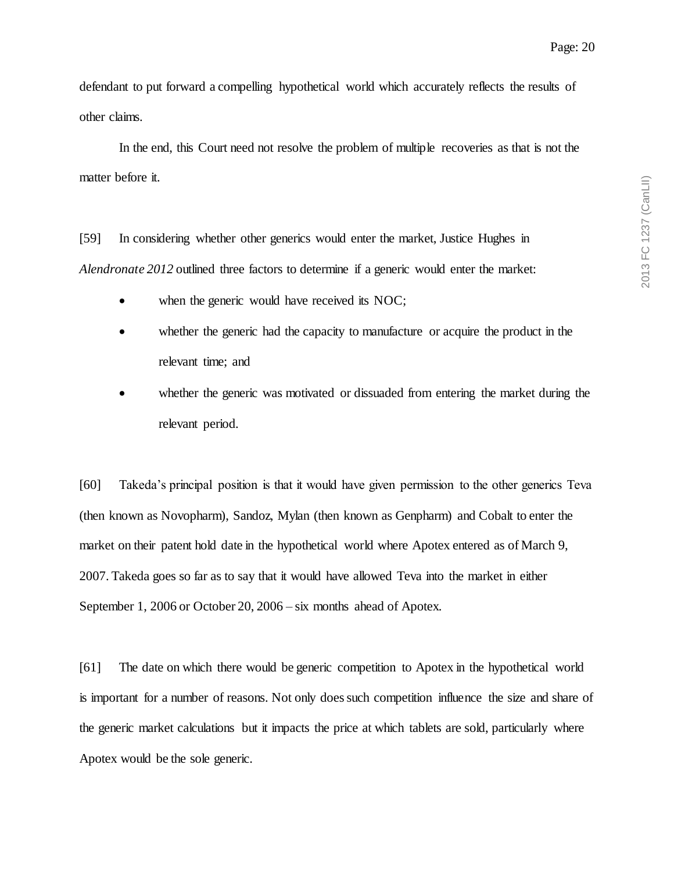defendant to put forward a compelling hypothetical world which accurately reflects the results of other claims.

In the end, this Court need not resolve the problem of multiple recoveries as that is not the matter before it.

[59] In considering whether other generics would enter the market, Justice Hughes in *Alendronate 2012* outlined three factors to determine if a generic would enter the market:

- when the generic would have received its NOC;
- whether the generic had the capacity to manufacture or acquire the product in the relevant time; and
- whether the generic was motivated or dissuaded from entering the market during the relevant period.

[60] Takeda's principal position is that it would have given permission to the other generics Teva (then known as Novopharm), Sandoz, Mylan (then known as Genpharm) and Cobalt to enter the market on their patent hold date in the hypothetical world where Apotex entered as of March 9, 2007. Takeda goes so far as to say that it would have allowed Teva into the market in either September 1, 2006 or October 20, 2006 – six months ahead of Apotex.

[61] The date on which there would be generic competition to Apotex in the hypothetical world is important for a number of reasons. Not only does such competition influence the size and share of the generic market calculations but it impacts the price at which tablets are sold, particularly where Apotex would be the sole generic.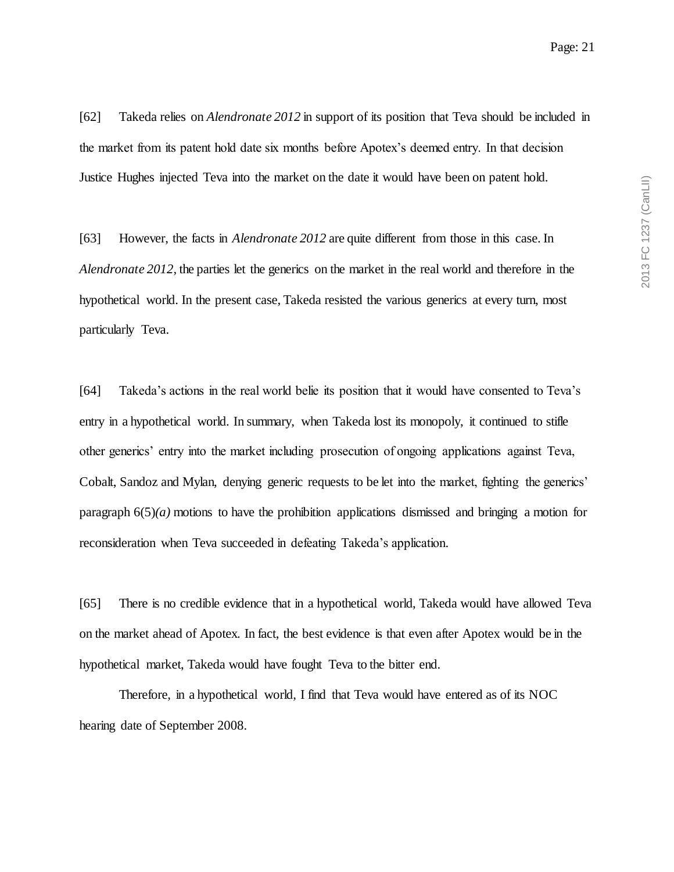[62] Takeda relies on *Alendronate 2012* in support of its position that Teva should be included in the market from its patent hold date six months before Apotex's deemed entry. In that decision Justice Hughes injected Teva into the market on the date it would have been on patent hold.

[63] However, the facts in *Alendronate 2012* are quite different from those in this case. In *Alendronate 2012*, the parties let the generics on the market in the real world and therefore in the hypothetical world. In the present case, Takeda resisted the various generics at every turn, most particularly Teva.

[64] Takeda's actions in the real world belie its position that it would have consented to Teva's entry in a hypothetical world. In summary, when Takeda lost its monopoly, it continued to stifle other generics' entry into the market including prosecution of ongoing applications against Teva, Cobalt, Sandoz and Mylan, denying generic requests to be let into the market, fighting the generics' paragraph  $6(5)(a)$  motions to have the prohibition applications dismissed and bringing a motion for reconsideration when Teva succeeded in defeating Takeda's application.

[65] There is no credible evidence that in a hypothetical world, Takeda would have allowed Teva on the market ahead of Apotex. In fact, the best evidence is that even after Apotex would be in the hypothetical market, Takeda would have fought Teva to the bitter end.

Therefore, in a hypothetical world, I find that Teva would have entered as of its NOC hearing date of September 2008.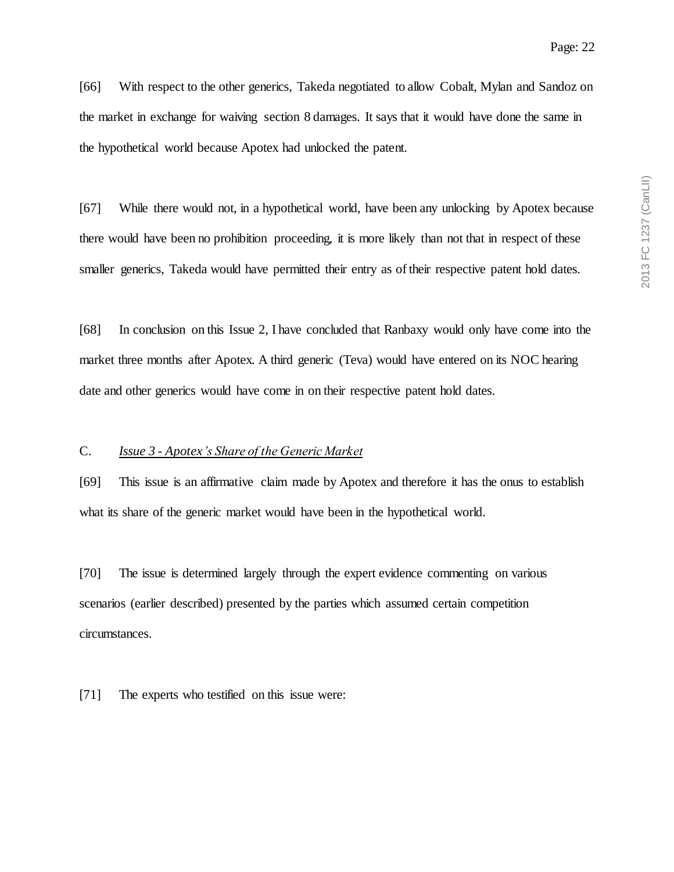[66] With respect to the other generics, Takeda negotiated to allow Cobalt, Mylan and Sandoz on the market in exchange for waiving section 8 damages. It says that it would have done the same in the hypothetical world because Apotex had unlocked the patent.

[67] While there would not, in a hypothetical world, have been any unlocking by Apotex because there would have been no prohibition proceeding, it is more likely than not that in respect of these smaller generics, Takeda would have permitted their entry as of their respective patent hold dates.

[68] In conclusion on this Issue 2, I have concluded that Ranbaxy would only have come into the market three months after Apotex. A third generic (Teva) would have entered on its NOC hearing date and other generics would have come in on their respective patent hold dates.

### C. *Issue 3 - Apotex's Share of the Generic Market*

[69] This issue is an affirmative claim made by Apotex and therefore it has the onus to establish what its share of the generic market would have been in the hypothetical world.

[70] The issue is determined largely through the expert evidence commenting on various scenarios (earlier described) presented by the parties which assumed certain competition circumstances.

[71] The experts who testified on this issue were: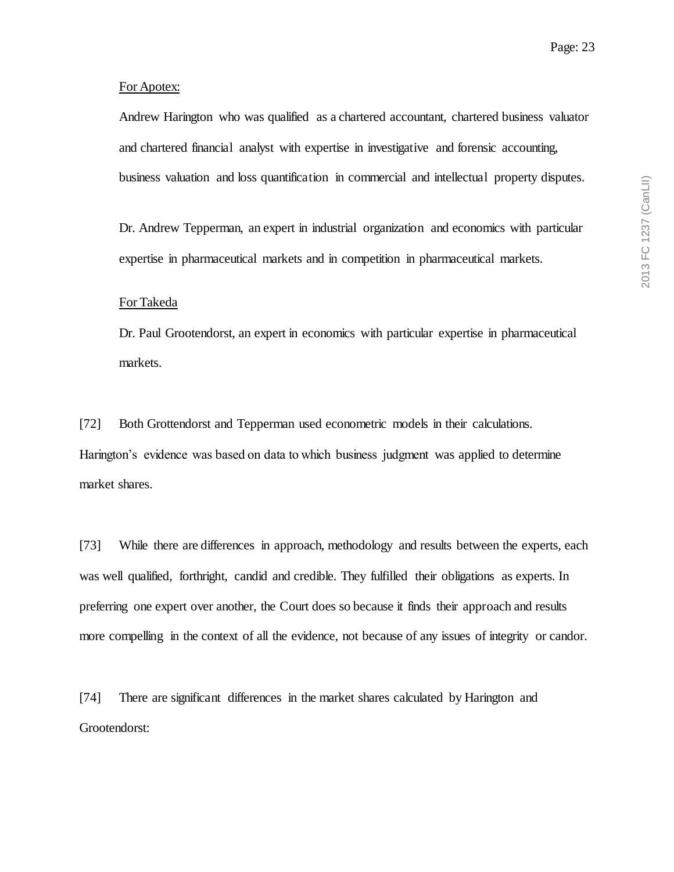#### For Apotex:

Andrew Harington who was qualified as a chartered accountant, chartered business valuator and chartered financial analyst with expertise in investigative and forensic accounting, business valuation and loss quantification in commercial and intellectual property disputes.

Dr. Andrew Tepperman, an expert in industrial organization and economics with particular expertise in pharmaceutical markets and in competition in pharmaceutical markets.

### For Takeda

Dr. Paul Grootendorst, an expert in economics with particular expertise in pharmaceutical markets.

[72] Both Grottendorst and Tepperman used econometric models in their calculations. Harington's evidence was based on data to which business judgment was applied to determine market shares.

[73] While there are differences in approach, methodology and results between the experts, each was well qualified, forthright, candid and credible. They fulfilled their obligations as experts. In preferring one expert over another, the Court does so because it finds their approach and results more compelling in the context of all the evidence, not because of any issues of integrity or candor.

[74] There are significant differences in the market shares calculated by Harington and Grootendorst: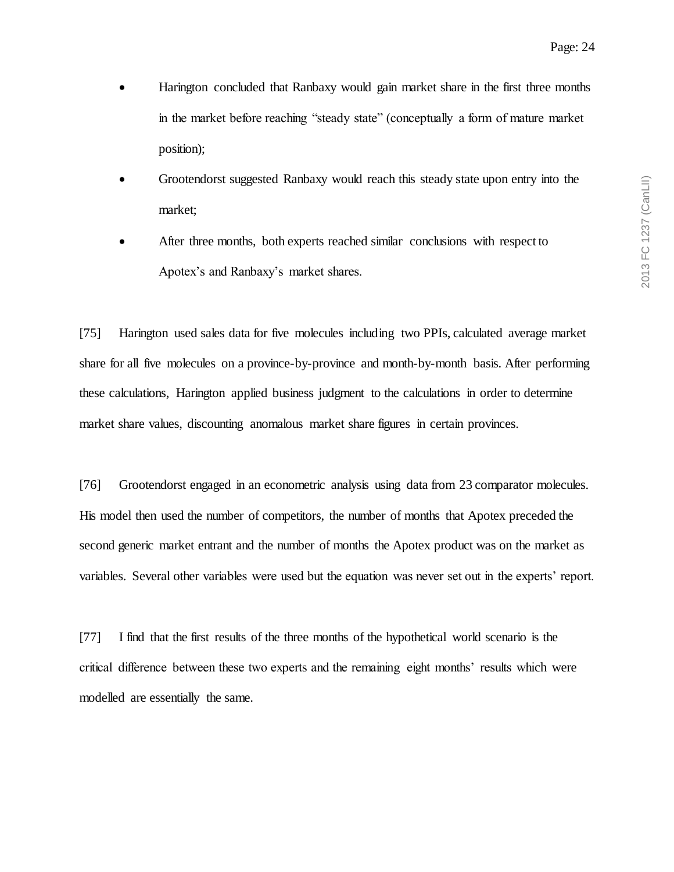- Harington concluded that Ranbaxy would gain market share in the first three months in the market before reaching "steady state" (conceptually a form of mature market position);
- Grootendorst suggested Ranbaxy would reach this steady state upon entry into the market;
- After three months, both experts reached similar conclusions with respect to Apotex's and Ranbaxy's market shares.

[75] Harington used sales data for five molecules including two PPIs, calculated average market share for all five molecules on a province-by-province and month-by-month basis. After performing these calculations, Harington applied business judgment to the calculations in order to determine market share values, discounting anomalous market share figures in certain provinces.

[76] Grootendorst engaged in an econometric analysis using data from 23 comparator molecules. His model then used the number of competitors, the number of months that Apotex preceded the second generic market entrant and the number of months the Apotex product was on the market as variables. Several other variables were used but the equation was never set out in the experts' report.

[77] I find that the first results of the three months of the hypothetical world scenario is the critical difference between these two experts and the remaining eight months' results which were modelled are essentially the same.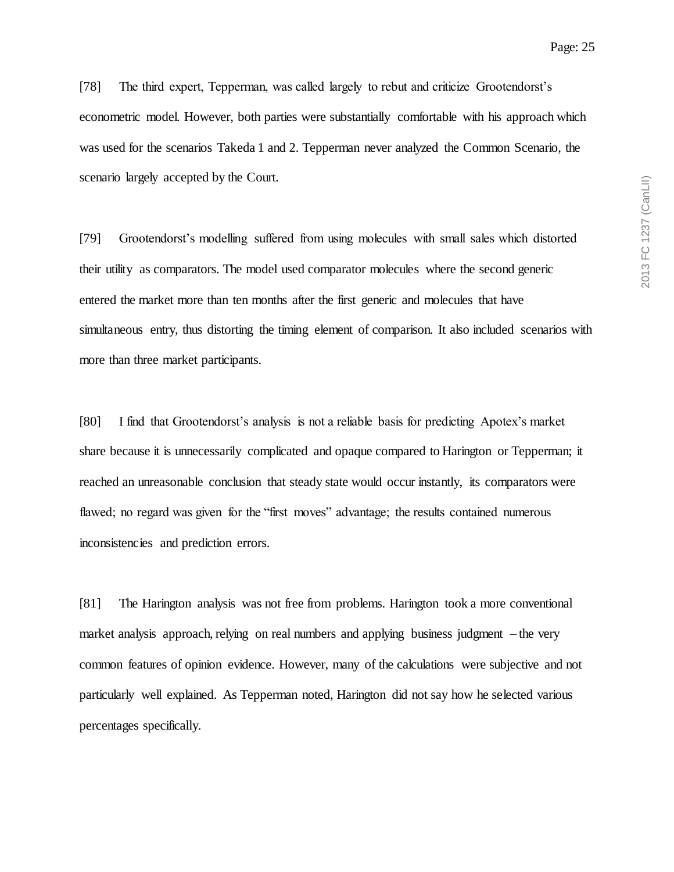[78] The third expert, Tepperman, was called largely to rebut and criticize Grootendorst's econometric model. However, both parties were substantially comfortable with his approach which was used for the scenarios Takeda 1 and 2. Tepperman never analyzed the Common Scenario, the scenario largely accepted by the Court.

[79] Grootendorst's modelling suffered from using molecules with small sales which distorted their utility as comparators. The model used comparator molecules where the second generic entered the market more than ten months after the first generic and molecules that have simultaneous entry, thus distorting the timing element of comparison. It also included scenarios with more than three market participants.

[80] I find that Grootendorst's analysis is not a reliable basis for predicting Apotex's market share because it is unnecessarily complicated and opaque compared to Harington or Tepperman; it reached an unreasonable conclusion that steady state would occur instantly, its comparators were flawed; no regard was given for the "first moves" advantage; the results contained numerous inconsistencies and prediction errors.

[81] The Harington analysis was not free from problems. Harington took a more conventional market analysis approach, relying on real numbers and applying business judgment – the very common features of opinion evidence. However, many of the calculations were subjective and not particularly well explained. As Tepperman noted, Harington did not say how he selected various percentages specifically.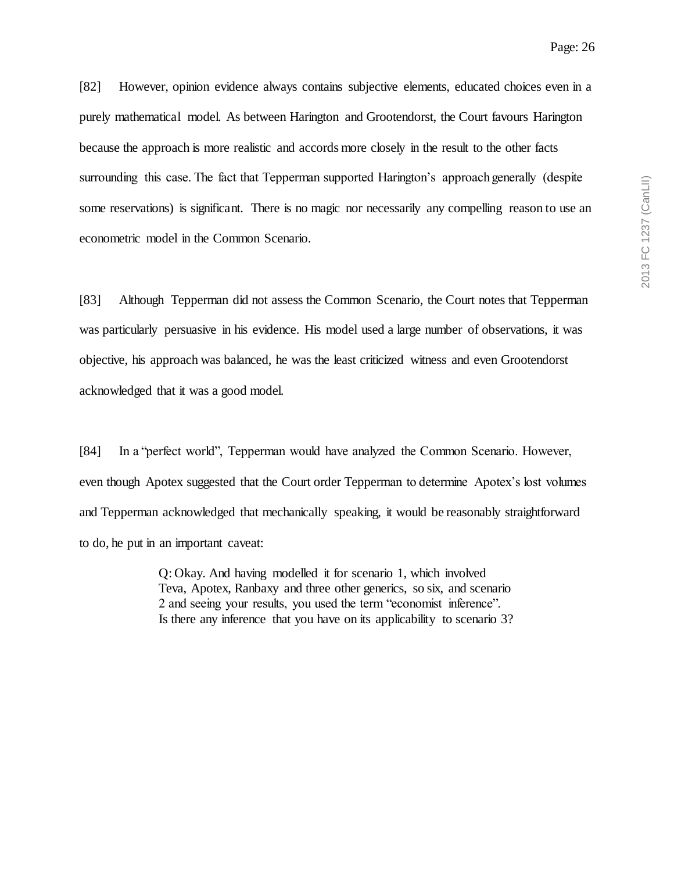[82] However, opinion evidence always contains subjective elements, educated choices even in a purely mathematical model. As between Harington and Grootendorst, the Court favours Harington because the approach is more realistic and accords more closely in the result to the other facts surrounding this case. The fact that Tepperman supported Harington's approach generally (despite some reservations) is significant. There is no magic nor necessarily any compelling reason to use an econometric model in the Common Scenario.

[83] Although Tepperman did not assess the Common Scenario, the Court notes that Tepperman was particularly persuasive in his evidence. His model used a large number of observations, it was objective, his approach was balanced, he was the least criticized witness and even Grootendorst acknowledged that it was a good model.

[84] In a "perfect world", Tepperman would have analyzed the Common Scenario. However, even though Apotex suggested that the Court order Tepperman to determine Apotex's lost volumes and Tepperman acknowledged that mechanically speaking, it would be reasonably straightforward to do, he put in an important caveat:

> Q: Okay. And having modelled it for scenario 1, which involved Teva, Apotex, Ranbaxy and three other generics, so six, and scenario 2 and seeing your results, you used the term "economist inference". Is there any inference that you have on its applicability to scenario 3?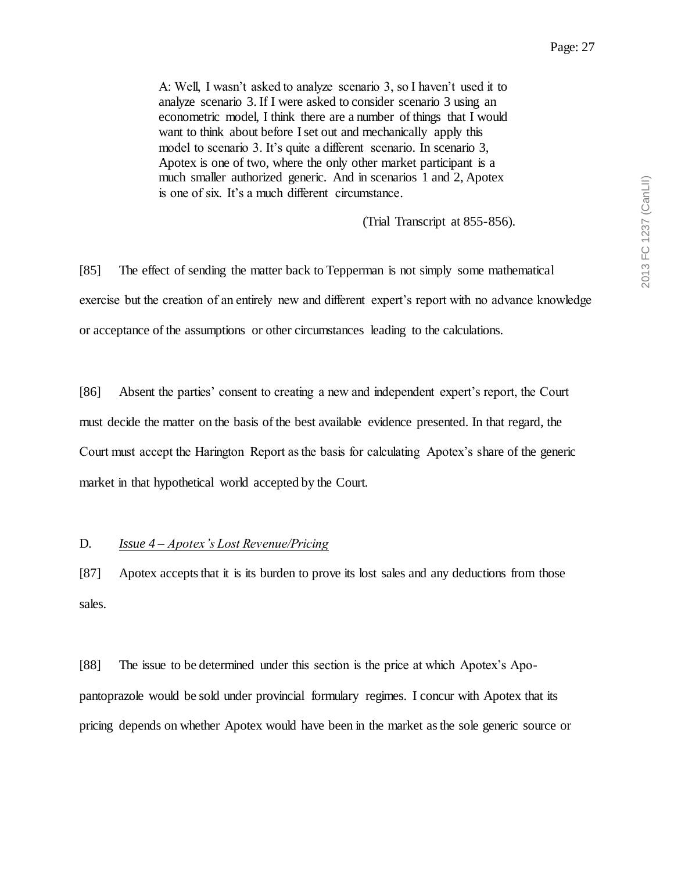A: Well, I wasn't asked to analyze scenario 3, so I haven't used it to analyze scenario 3. If I were asked to consider scenario 3 using an econometric model, I think there are a number of things that I would want to think about before I set out and mechanically apply this model to scenario 3. It's quite a different scenario. In scenario 3, Apotex is one of two, where the only other market participant is a much smaller authorized generic. And in scenarios 1 and 2, Apotex is one of six. It's a much different circumstance.

(Trial Transcript at 855-856).

[85] The effect of sending the matter back to Tepperman is not simply some mathematical exercise but the creation of an entirely new and different expert's report with no advance knowledge or acceptance of the assumptions or other circumstances leading to the calculations.

[86] Absent the parties' consent to creating a new and independent expert's report, the Court must decide the matter on the basis of the best available evidence presented. In that regard, the Court must accept the Harington Report as the basis for calculating Apotex's share of the generic market in that hypothetical world accepted by the Court.

#### D. *Issue 4 – Apotex's Lost Revenue/Pricing*

[87] Apotex accepts that it is its burden to prove its lost sales and any deductions from those sales.

[88] The issue to be determined under this section is the price at which Apotex's Apopantoprazole would be sold under provincial formulary regimes. I concur with Apotex that its pricing depends on whether Apotex would have been in the market as the sole generic source or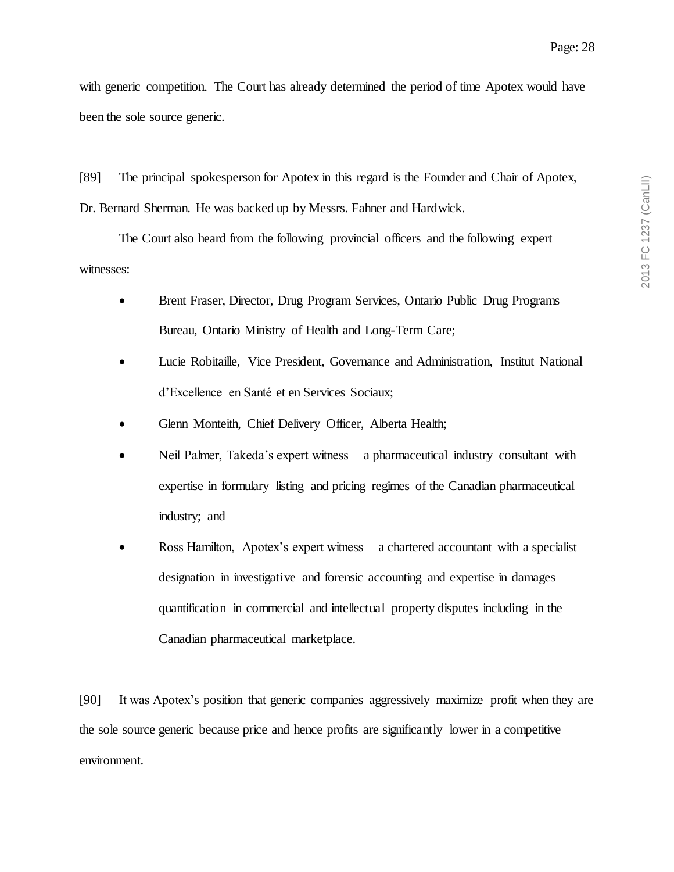with generic competition. The Court has already determined the period of time Apotex would have been the sole source generic.

[89] The principal spokesperson for Apotex in this regard is the Founder and Chair of Apotex, Dr. Bernard Sherman. He was backed up by Messrs. Fahner and Hardwick.

The Court also heard from the following provincial officers and the following expert witnesses:

- Brent Fraser, Director, Drug Program Services, Ontario Public Drug Programs Bureau, Ontario Ministry of Health and Long-Term Care;
- Lucie Robitaille, Vice President, Governance and Administration, Institut National d'Excellence en Santé et en Services Sociaux;
- Glenn Monteith, Chief Delivery Officer, Alberta Health;
- Neil Palmer, Takeda's expert witness a pharmaceutical industry consultant with expertise in formulary listing and pricing regimes of the Canadian pharmaceutical industry; and
- Ross Hamilton, Apotex's expert witness a chartered accountant with a specialist designation in investigative and forensic accounting and expertise in damages quantification in commercial and intellectual property disputes including in the Canadian pharmaceutical marketplace.

[90] It was Apotex's position that generic companies aggressively maximize profit when they are the sole source generic because price and hence profits are significantly lower in a competitive environment.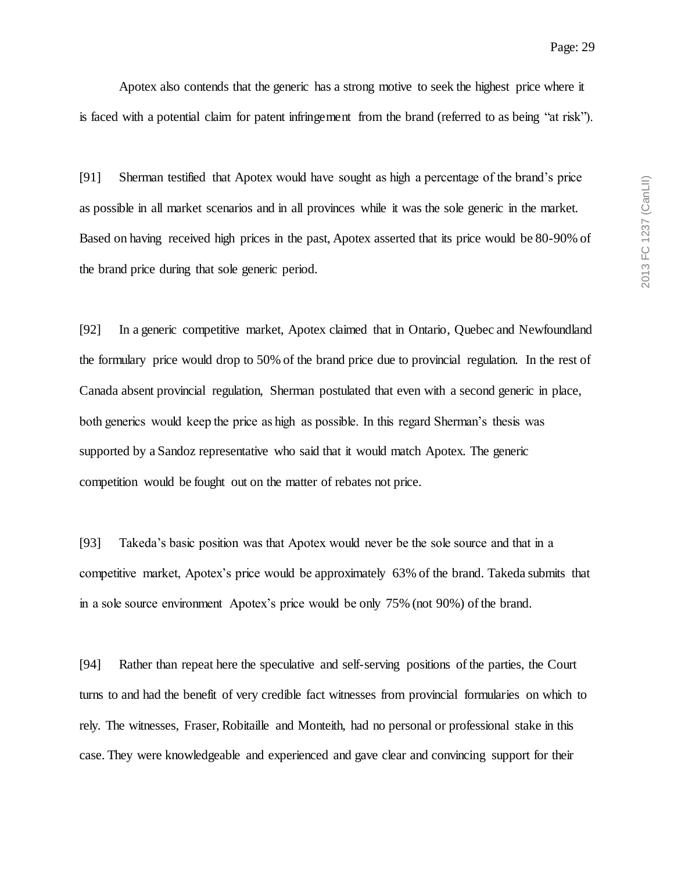Apotex also contends that the generic has a strong motive to seek the highest price where it is faced with a potential claim for patent infringement from the brand (referred to as being "at risk").

[91] Sherman testified that Apotex would have sought as high a percentage of the brand's price as possible in all market scenarios and in all provinces while it was the sole generic in the market. Based on having received high prices in the past, Apotex asserted that its price would be 80-90% of the brand price during that sole generic period.

[92] In a generic competitive market, Apotex claimed that in Ontario, Quebec and Newfoundland the formulary price would drop to 50% of the brand price due to provincial regulation. In the rest of Canada absent provincial regulation, Sherman postulated that even with a second generic in place, both generics would keep the price as high as possible. In this regard Sherman's thesis was supported by a Sandoz representative who said that it would match Apotex. The generic competition would be fought out on the matter of rebates not price.

[93] Takeda's basic position was that Apotex would never be the sole source and that in a competitive market, Apotex's price would be approximately 63% of the brand. Takeda submits that in a sole source environment Apotex's price would be only 75% (not 90%) of the brand.

[94] Rather than repeat here the speculative and self-serving positions of the parties, the Court turns to and had the benefit of very credible fact witnesses from provincial formularies on which to rely. The witnesses, Fraser, Robitaille and Monteith, had no personal or professional stake in this case. They were knowledgeable and experienced and gave clear and convincing support for their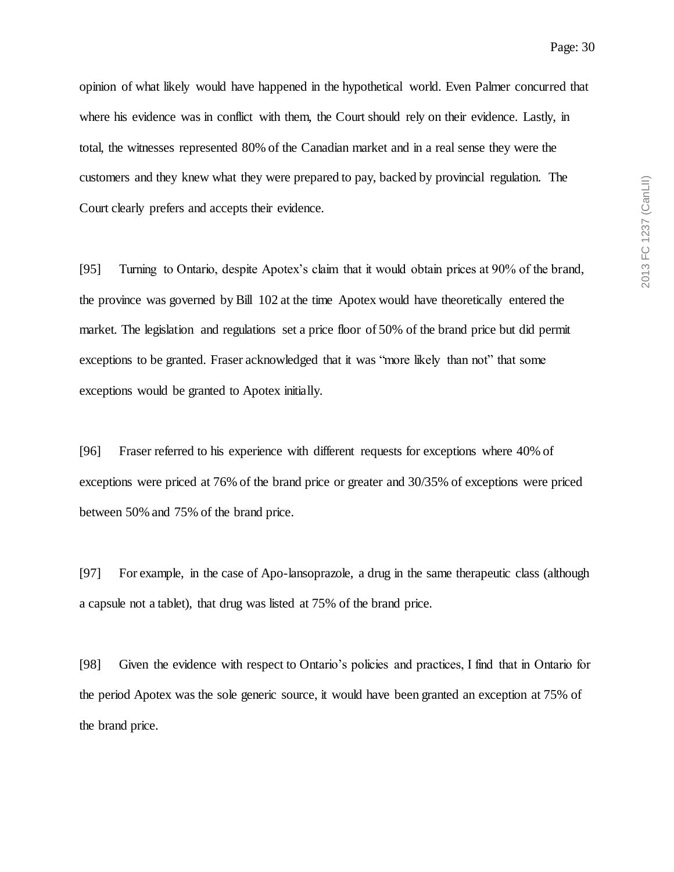opinion of what likely would have happened in the hypothetical world. Even Palmer concurred that where his evidence was in conflict with them, the Court should rely on their evidence. Lastly, in total, the witnesses represented 80% of the Canadian market and in a real sense they were the customers and they knew what they were prepared to pay, backed by provincial regulation. The Court clearly prefers and accepts their evidence.

[95] Turning to Ontario, despite Apotex's claim that it would obtain prices at 90% of the brand, the province was governed by Bill 102 at the time Apotex would have theoretically entered the market. The legislation and regulations set a price floor of 50% of the brand price but did permit exceptions to be granted. Fraser acknowledged that it was "more likely than not" that some exceptions would be granted to Apotex initially.

[96] Fraser referred to his experience with different requests for exceptions where 40% of exceptions were priced at 76% of the brand price or greater and 30/35% of exceptions were priced between 50% and 75% of the brand price.

[97] For example, in the case of Apo-lansoprazole, a drug in the same therapeutic class (although a capsule not a tablet), that drug was listed at 75% of the brand price.

[98] Given the evidence with respect to Ontario's policies and practices, I find that in Ontario for the period Apotex was the sole generic source, it would have been granted an exception at 75% of the brand price.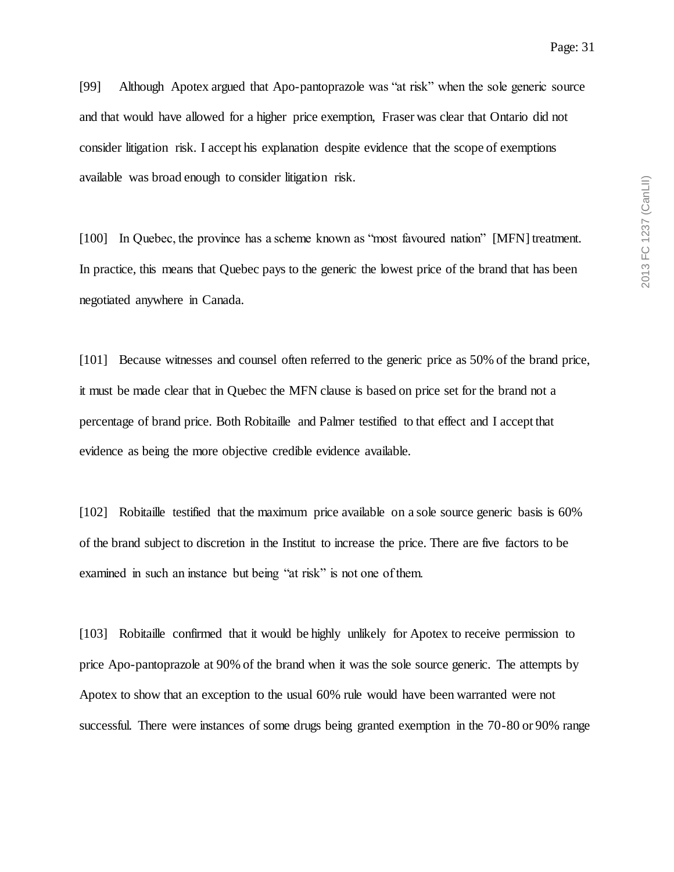[99] Although Apotex argued that Apo-pantoprazole was "at risk" when the sole generic source and that would have allowed for a higher price exemption, Fraser was clear that Ontario did not consider litigation risk. I accept his explanation despite evidence that the scope of exemptions available was broad enough to consider litigation risk.

[100] In Quebec, the province has a scheme known as "most favoured nation" [MFN] treatment. In practice, this means that Quebec pays to the generic the lowest price of the brand that has been negotiated anywhere in Canada.

[101] Because witnesses and counsel often referred to the generic price as 50% of the brand price, it must be made clear that in Quebec the MFN clause is based on price set for the brand not a percentage of brand price. Both Robitaille and Palmer testified to that effect and I accept that evidence as being the more objective credible evidence available.

[102] Robitaille testified that the maximum price available on a sole source generic basis is 60% of the brand subject to discretion in the Institut to increase the price. There are five factors to be examined in such an instance but being "at risk" is not one of them.

[103] Robitaille confirmed that it would be highly unlikely for Apotex to receive permission to price Apo-pantoprazole at 90% of the brand when it was the sole source generic. The attempts by Apotex to show that an exception to the usual 60% rule would have been warranted were not successful. There were instances of some drugs being granted exemption in the 70-80 or 90% range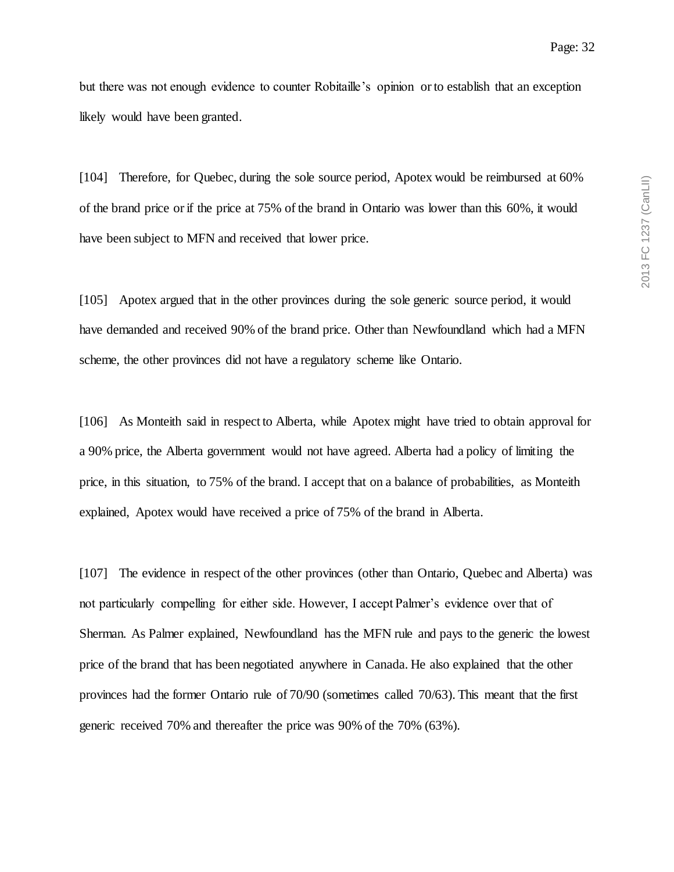but there was not enough evidence to counter Robitaille's opinion or to establish that an exception likely would have been granted.

[104] Therefore, for Quebec, during the sole source period, Apotex would be reimbursed at 60% of the brand price or if the price at 75% of the brand in Ontario was lower than this 60%, it would have been subject to MFN and received that lower price.

[105] Apotex argued that in the other provinces during the sole generic source period, it would have demanded and received 90% of the brand price. Other than Newfoundland which had a MFN scheme, the other provinces did not have a regulatory scheme like Ontario.

[106] As Monteith said in respect to Alberta, while Apotex might have tried to obtain approval for a 90% price, the Alberta government would not have agreed. Alberta had a policy of limiting the price, in this situation, to 75% of the brand. I accept that on a balance of probabilities, as Monteith explained, Apotex would have received a price of 75% of the brand in Alberta.

[107] The evidence in respect of the other provinces (other than Ontario, Quebec and Alberta) was not particularly compelling for either side. However, I accept Palmer's evidence over that of Sherman. As Palmer explained, Newfoundland has the MFN rule and pays to the generic the lowest price of the brand that has been negotiated anywhere in Canada. He also explained that the other provinces had the former Ontario rule of 70/90 (sometimes called 70/63). This meant that the first generic received 70% and thereafter the price was 90% of the 70% (63%).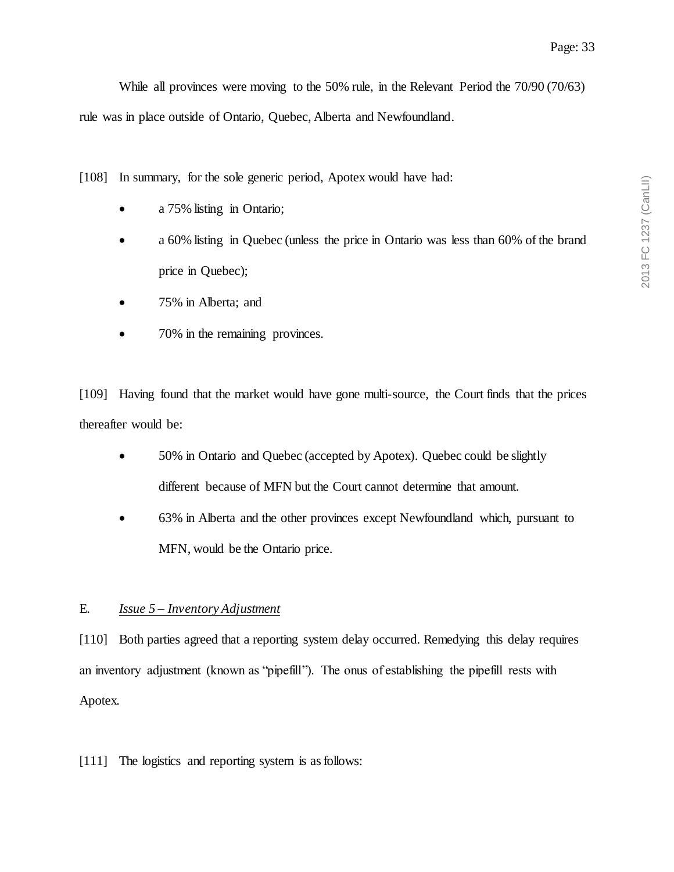2013 FC 1237 (CanLII) 2013 FC 1237 (CanLII)

Page: 33

While all provinces were moving to the 50% rule, in the Relevant Period the 70/90 (70/63) rule was in place outside of Ontario, Quebec, Alberta and Newfoundland.

[108] In summary, for the sole generic period, Apotex would have had:

- a 75% listing in Ontario;
- a 60% listing in Quebec (unless the price in Ontario was less than 60% of the brand price in Quebec);
- 75% in Alberta; and
- 70% in the remaining provinces.

[109] Having found that the market would have gone multi-source, the Court finds that the prices thereafter would be:

- 50% in Ontario and Quebec (accepted by Apotex). Quebec could be slightly different because of MFN but the Court cannot determine that amount.
- 63% in Alberta and the other provinces except Newfoundland which, pursuant to MFN, would be the Ontario price.

## E. *Issue 5 – Inventory Adjustment*

[110] Both parties agreed that a reporting system delay occurred. Remedying this delay requires an inventory adjustment (known as "pipefill"). The onus of establishing the pipefill rests with Apotex.

[111] The logistics and reporting system is as follows: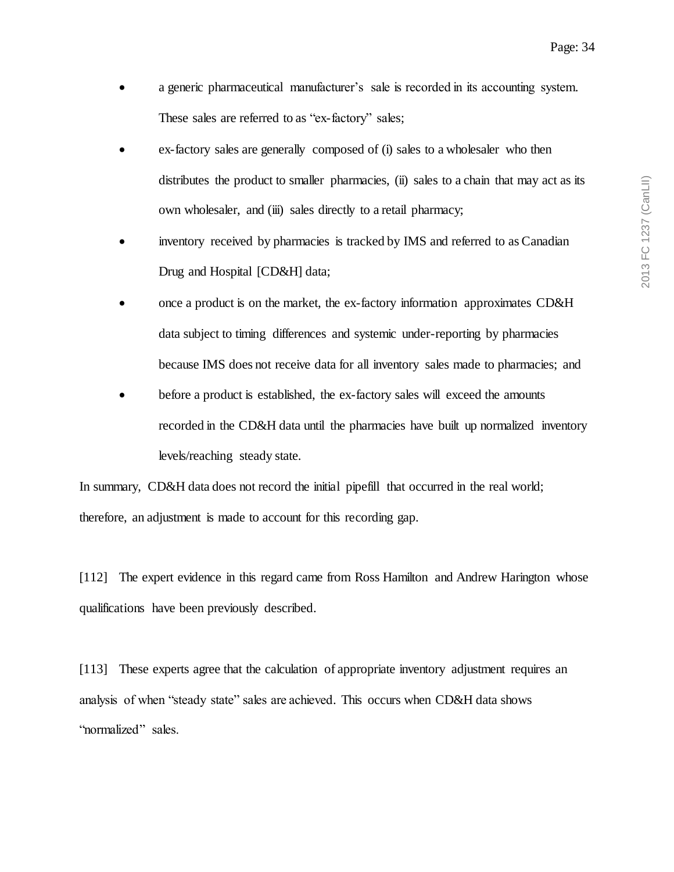- a generic pharmaceutical manufacturer's sale is recorded in its accounting system. These sales are referred to as "ex-factory" sales;
- ex-factory sales are generally composed of (i) sales to a wholesaler who then distributes the product to smaller pharmacies, (ii) sales to a chain that may act as its own wholesaler, and (iii) sales directly to a retail pharmacy;
- inventory received by pharmacies is tracked by IMS and referred to as Canadian Drug and Hospital [CD&H] data;
- once a product is on the market, the ex-factory information approximates CD&H data subject to timing differences and systemic under-reporting by pharmacies because IMS does not receive data for all inventory sales made to pharmacies; and
- before a product is established, the ex-factory sales will exceed the amounts recorded in the CD&H data until the pharmacies have built up normalized inventory levels/reaching steady state.

In summary, CD&H data does not record the initial pipefill that occurred in the real world; therefore, an adjustment is made to account for this recording gap.

[112] The expert evidence in this regard came from Ross Hamilton and Andrew Harington whose qualifications have been previously described.

[113] These experts agree that the calculation of appropriate inventory adjustment requires an analysis of when "steady state" sales are achieved. This occurs when CD&H data shows "normalized" sales.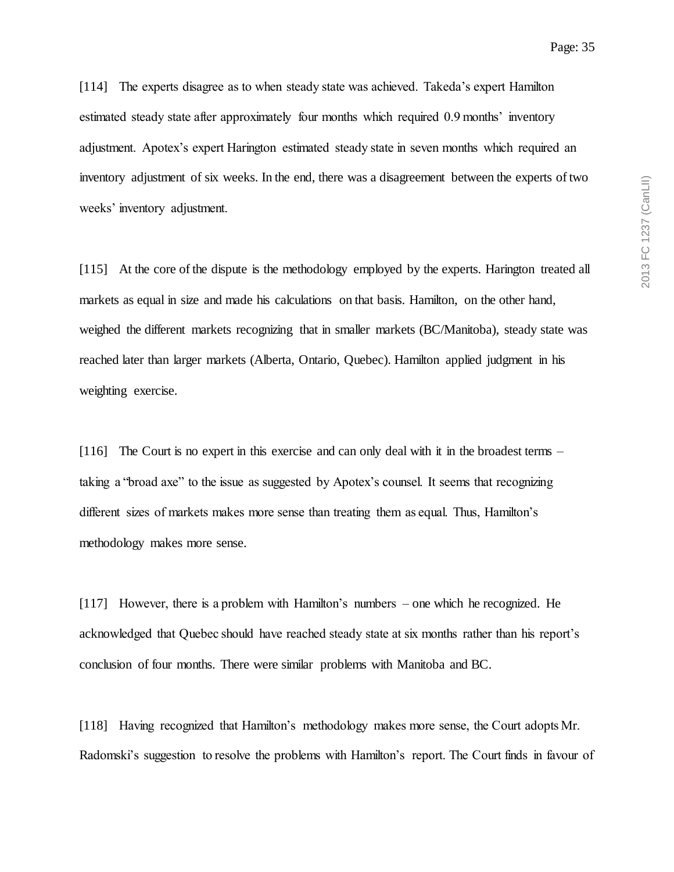[114] The experts disagree as to when steady state was achieved. Takeda's expert Hamilton estimated steady state after approximately four months which required 0.9 months' inventory adjustment. Apotex's expert Harington estimated steady state in seven months which required an inventory adjustment of six weeks. In the end, there was a disagreement between the experts of two weeks' inventory adjustment.

[115] At the core of the dispute is the methodology employed by the experts. Harington treated all markets as equal in size and made his calculations on that basis. Hamilton, on the other hand, weighed the different markets recognizing that in smaller markets (BC/Manitoba), steady state was reached later than larger markets (Alberta, Ontario, Quebec). Hamilton applied judgment in his weighting exercise.

[116] The Court is no expert in this exercise and can only deal with it in the broadest terms – taking a "broad axe" to the issue as suggested by Apotex's counsel. It seems that recognizing different sizes of markets makes more sense than treating them as equal. Thus, Hamilton's methodology makes more sense.

[117] However, there is a problem with Hamilton's numbers – one which he recognized. He acknowledged that Quebec should have reached steady state at six months rather than his report's conclusion of four months. There were similar problems with Manitoba and BC.

[118] Having recognized that Hamilton's methodology makes more sense, the Court adopts Mr. Radomski's suggestion to resolve the problems with Hamilton's report. The Court finds in favour of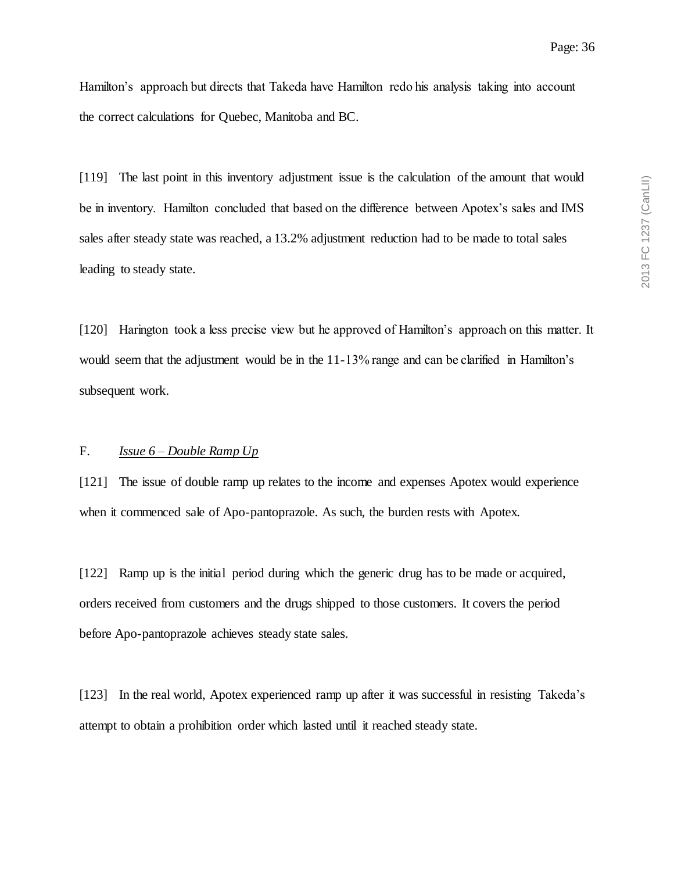Hamilton's approach but directs that Takeda have Hamilton redo his analysis taking into account the correct calculations for Quebec, Manitoba and BC.

[119] The last point in this inventory adjustment issue is the calculation of the amount that would be in inventory. Hamilton concluded that based on the difference between Apotex's sales and IMS sales after steady state was reached, a 13.2% adjustment reduction had to be made to total sales leading to steady state.

[120] Harington took a less precise view but he approved of Hamilton's approach on this matter. It would seem that the adjustment would be in the 11-13% range and can be clarified in Hamilton's subsequent work.

### F. *Issue 6 – Double Ramp Up*

[121] The issue of double ramp up relates to the income and expenses Apotex would experience when it commenced sale of Apo-pantoprazole. As such, the burden rests with Apotex.

[122] Ramp up is the initial period during which the generic drug has to be made or acquired, orders received from customers and the drugs shipped to those customers. It covers the period before Apo-pantoprazole achieves steady state sales.

[123] In the real world, Apotex experienced ramp up after it was successful in resisting Takeda's attempt to obtain a prohibition order which lasted until it reached steady state.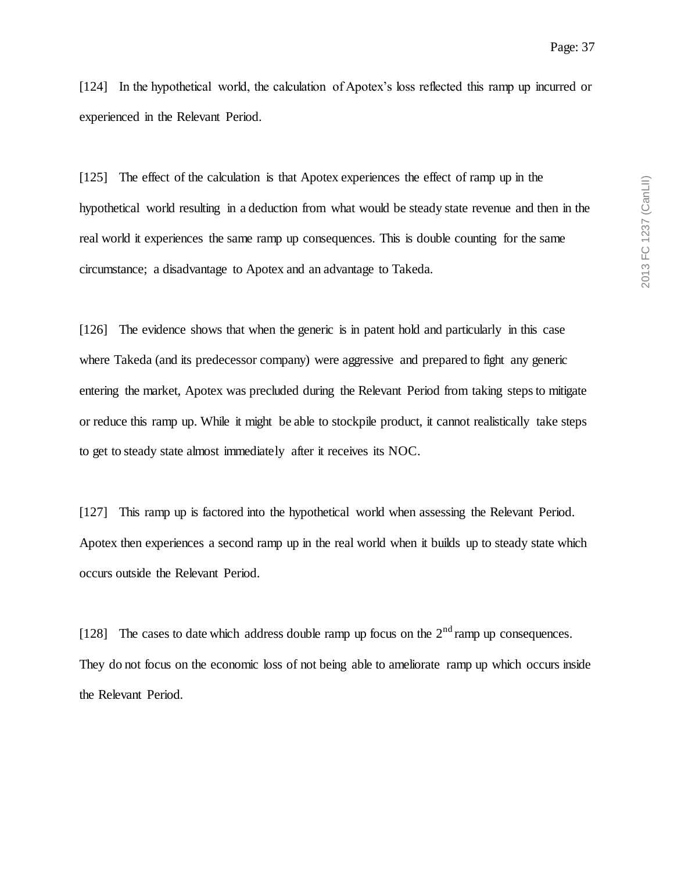[124] In the hypothetical world, the calculation of Apotex's loss reflected this ramp up incurred or experienced in the Relevant Period.

[125] The effect of the calculation is that Apotex experiences the effect of ramp up in the hypothetical world resulting in a deduction from what would be steady state revenue and then in the real world it experiences the same ramp up consequences. This is double counting for the same circumstance; a disadvantage to Apotex and an advantage to Takeda.

[126] The evidence shows that when the generic is in patent hold and particularly in this case where Takeda (and its predecessor company) were aggressive and prepared to fight any generic entering the market, Apotex was precluded during the Relevant Period from taking steps to mitigate or reduce this ramp up. While it might be able to stockpile product, it cannot realistically take steps to get to steady state almost immediately after it receives its NOC.

[127] This ramp up is factored into the hypothetical world when assessing the Relevant Period. Apotex then experiences a second ramp up in the real world when it builds up to steady state which occurs outside the Relevant Period.

[128] The cases to date which address double ramp up focus on the  $2<sup>nd</sup>$  ramp up consequences. They do not focus on the economic loss of not being able to ameliorate ramp up which occurs inside the Relevant Period.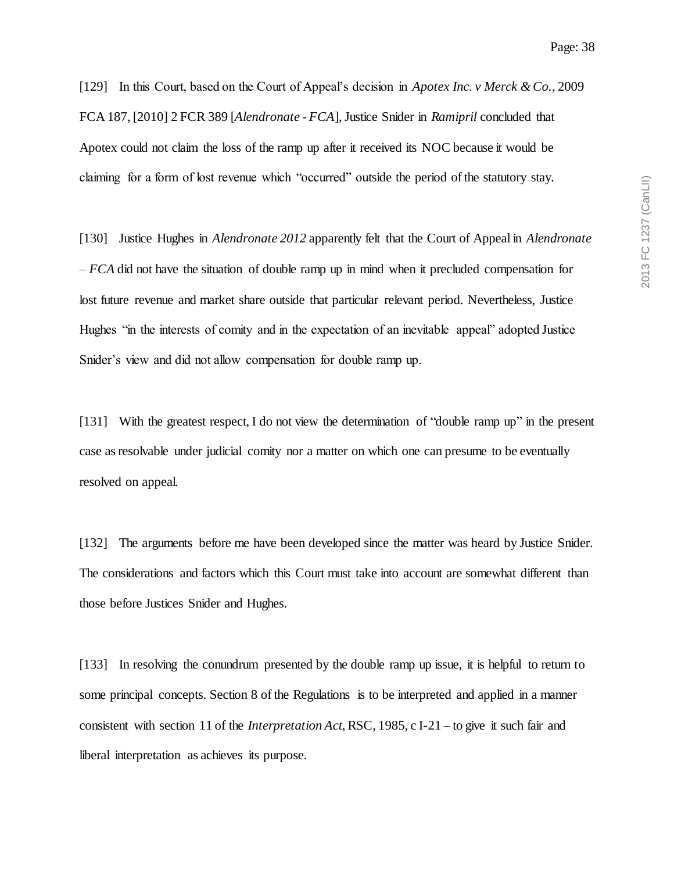[129] In this Court, based on the Court of Appeal's decision in *Apotex Inc. v Merck & Co.*, 2009 FCA 187, [2010] 2 FCR 389 [*Alendronate - FCA*], Justice Snider in *Ramipril* concluded that Apotex could not claim the loss of the ramp up after it received its NOC because it would be claiming for a form of lost revenue which "occurred" outside the period of the statutory stay.

[130] Justice Hughes in *Alendronate 2012* apparently felt that the Court of Appeal in *Alendronate – FCA* did not have the situation of double ramp up in mind when it precluded compensation for lost future revenue and market share outside that particular relevant period. Nevertheless, Justice Hughes "in the interests of comity and in the expectation of an inevitable appeal" adopted Justice Snider's view and did not allow compensation for double ramp up.

[131] With the greatest respect, I do not view the determination of "double ramp up" in the present case as resolvable under judicial comity nor a matter on which one can presume to be eventually resolved on appeal.

[132] The arguments before me have been developed since the matter was heard by Justice Snider. The considerations and factors which this Court must take into account are somewhat different than those before Justices Snider and Hughes.

[133] In resolving the conundrum presented by the double ramp up issue, it is helpful to return to some principal concepts. Section 8 of the Regulations is to be interpreted and applied in a manner consistent with section 11 of the *Interpretation Act*, RSC, 1985, c I-21 – to give it such fair and liberal interpretation as achieves its purpose.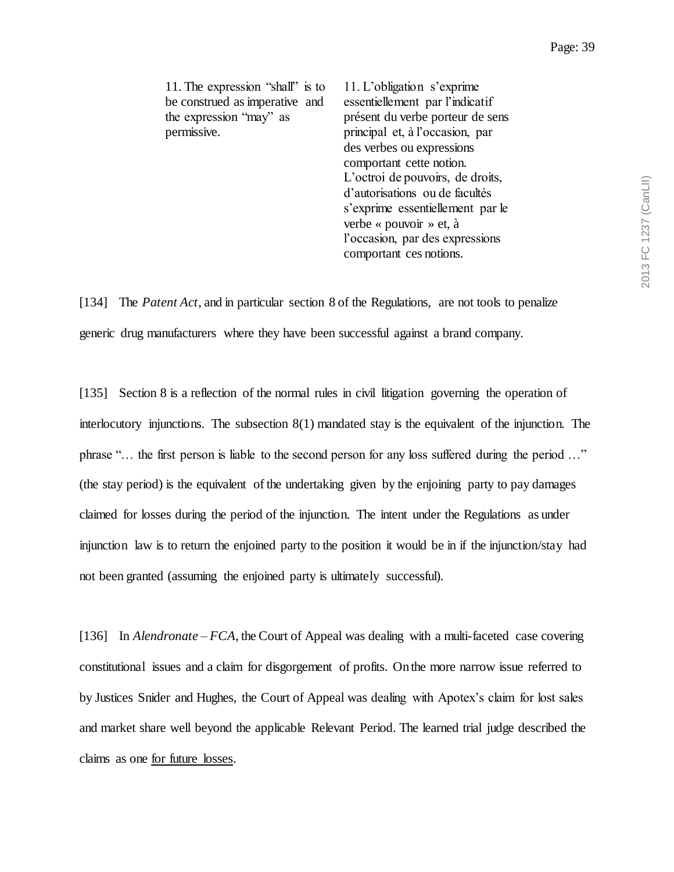| 11. The expression "shall" is to | 11. L'obligation s'exprime       |
|----------------------------------|----------------------------------|
| be construed as imperative and   | essentiellement par l'indicatif  |
| the expression "may" as          | présent du verbe porteur de sens |
| permissive.                      | principal et, à l'occasion, par  |
|                                  | des verbes ou expressions        |
|                                  | comportant cette notion.         |
|                                  | L'octroi de pouvoirs, de droits, |
|                                  | d'autorisations ou de facultés   |
|                                  | s'exprime essentiellement par le |
|                                  | verbe « pouvoir » et, à          |
|                                  | l'occasion, par des expressions  |
|                                  | comportant ces notions.          |
|                                  |                                  |

[134] The *Patent Act*, and in particular section 8 of the Regulations, are not tools to penalize generic drug manufacturers where they have been successful against a brand company.

[135] Section 8 is a reflection of the normal rules in civil litigation governing the operation of interlocutory injunctions. The subsection 8(1) mandated stay is the equivalent of the injunction. The phrase "… the first person is liable to the second person for any loss suffered during the period …" (the stay period) is the equivalent of the undertaking given by the enjoining party to pay damages claimed for losses during the period of the injunction. The intent under the Regulations as under injunction law is to return the enjoined party to the position it would be in if the injunction/stay had not been granted (assuming the enjoined party is ultimately successful).

[136] In *Alendronate – FCA*, the Court of Appeal was dealing with a multi-faceted case covering constitutional issues and a claim for disgorgement of profits. On the more narrow issue referred to by Justices Snider and Hughes, the Court of Appeal was dealing with Apotex's claim for lost sales and market share well beyond the applicable Relevant Period. The learned trial judge described the claims as one for future losses.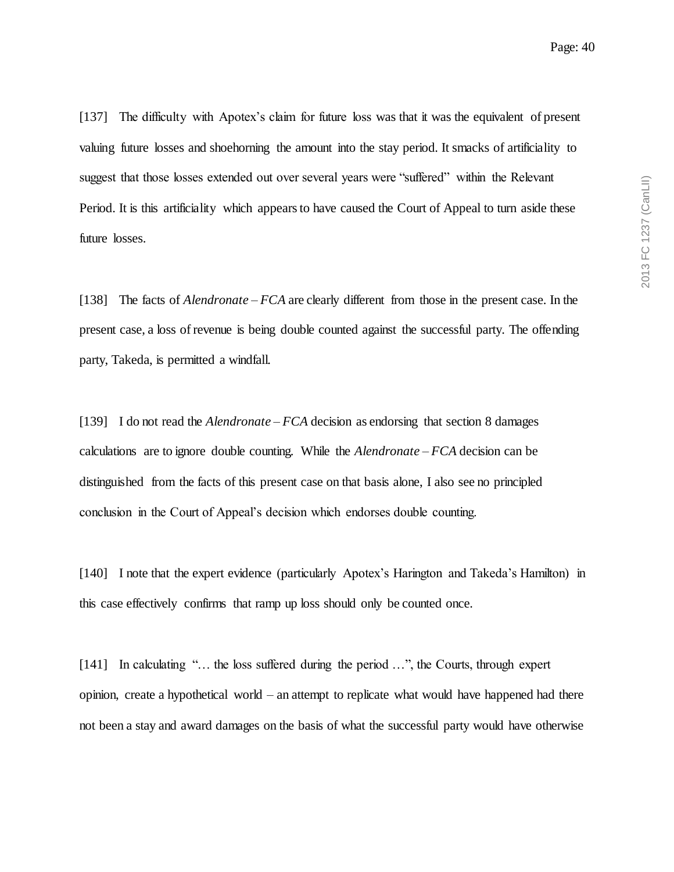[137] The difficulty with Apotex's claim for future loss was that it was the equivalent of present valuing future losses and shoehorning the amount into the stay period. It smacks of artificiality to suggest that those losses extended out over several years were "suffered" within the Relevant Period. It is this artificiality which appears to have caused the Court of Appeal to turn aside these future losses.

[138] The facts of *Alendronate – FCA* are clearly different from those in the present case. In the present case, a loss of revenue is being double counted against the successful party. The offending party, Takeda, is permitted a windfall.

[139] I do not read the *Alendronate – FCA* decision as endorsing that section 8 damages calculations are to ignore double counting. While the *Alendronate – FCA* decision can be distinguished from the facts of this present case on that basis alone, I also see no principled conclusion in the Court of Appeal's decision which endorses double counting.

[140] I note that the expert evidence (particularly Apotex's Harington and Takeda's Hamilton) in this case effectively confirms that ramp up loss should only be counted once.

[141] In calculating "... the loss suffered during the period ...", the Courts, through expert opinion, create a hypothetical world – an attempt to replicate what would have happened had there not been a stay and award damages on the basis of what the successful party would have otherwise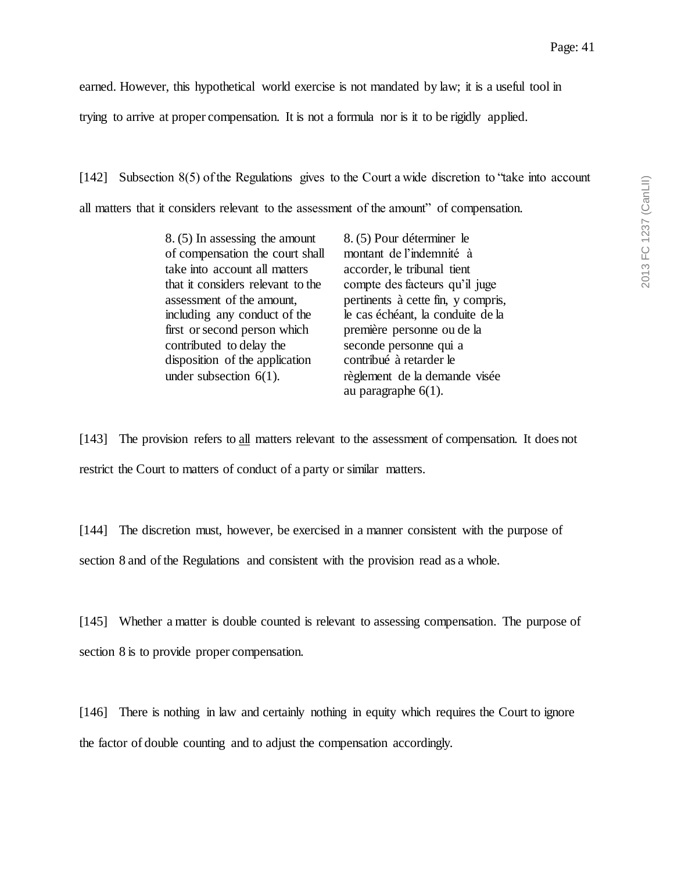2013 FC 1237 (CanLII) 2013 FC 1237 (CanLII)

earned. However, this hypothetical world exercise is not mandated by law; it is a useful tool in

trying to arrive at proper compensation. It is not a formula nor is it to be rigidly applied.

[142] Subsection 8(5) of the Regulations gives to the Court a wide discretion to "take into account all matters that it considers relevant to the assessment of the amount" of compensation.

| 8. (5) In assessing the amount    | 8. (5) Pour déterminer le          |
|-----------------------------------|------------------------------------|
| of compensation the court shall   | montant de l'indemnité à           |
| take into account all matters     | accorder, le tribunal tient        |
| that it considers relevant to the | compte des facteurs qu'il juge     |
| assessment of the amount,         | pertinents à cette fin, y compris, |
| including any conduct of the      | le cas échéant, la conduite de la  |
| first or second person which      | première personne ou de la         |
| contributed to delay the          | seconde personne qui a             |
| disposition of the application    | contribué à retarder le            |
| under subsection $6(1)$ .         | règlement de la demande visée      |
|                                   | au paragraphe $6(1)$ .             |

[143] The provision refers to all matters relevant to the assessment of compensation. It does not restrict the Court to matters of conduct of a party or similar matters.

[144] The discretion must, however, be exercised in a manner consistent with the purpose of section 8 and of the Regulations and consistent with the provision read as a whole.

[145] Whether a matter is double counted is relevant to assessing compensation. The purpose of section 8 is to provide proper compensation.

[146] There is nothing in law and certainly nothing in equity which requires the Court to ignore the factor of double counting and to adjust the compensation accordingly.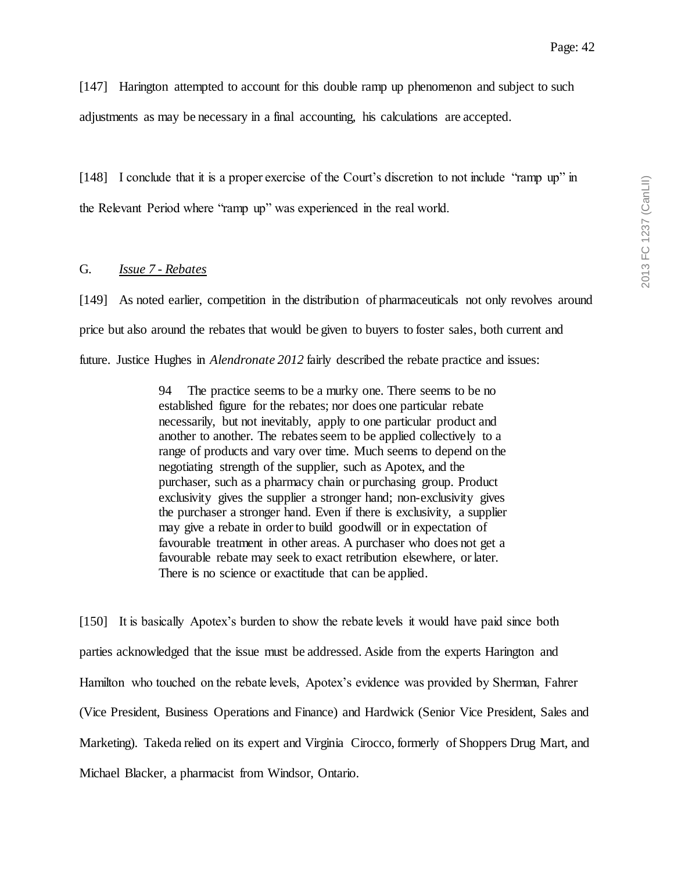[147] Harington attempted to account for this double ramp up phenomenon and subject to such adjustments as may be necessary in a final accounting, his calculations are accepted.

[148] I conclude that it is a proper exercise of the Court's discretion to not include "ramp up" in the Relevant Period where "ramp up" was experienced in the real world.

### G. *Issue 7 - Rebates*

[149] As noted earlier, competition in the distribution of pharmaceuticals not only revolves around price but also around the rebates that would be given to buyers to foster sales, both current and future. Justice Hughes in *Alendronate 2012* fairly described the rebate practice and issues:

> 94 The practice seems to be a murky one. There seems to be no established figure for the rebates; nor does one particular rebate necessarily, but not inevitably, apply to one particular product and another to another. The rebates seem to be applied collectively to a range of products and vary over time. Much seems to depend on the negotiating strength of the supplier, such as Apotex, and the purchaser, such as a pharmacy chain or purchasing group. Product exclusivity gives the supplier a stronger hand; non-exclusivity gives the purchaser a stronger hand. Even if there is exclusivity, a supplier may give a rebate in order to build goodwill or in expectation of favourable treatment in other areas. A purchaser who does not get a favourable rebate may seek to exact retribution elsewhere, or later. There is no science or exactitude that can be applied.

[150] It is basically Apotex's burden to show the rebate levels it would have paid since both parties acknowledged that the issue must be addressed. Aside from the experts Harington and Hamilton who touched on the rebate levels, Apotex's evidence was provided by Sherman, Fahrer (Vice President, Business Operations and Finance) and Hardwick (Senior Vice President, Sales and Marketing). Takeda relied on its expert and Virginia Cirocco, formerly of Shoppers Drug Mart, and Michael Blacker, a pharmacist from Windsor, Ontario.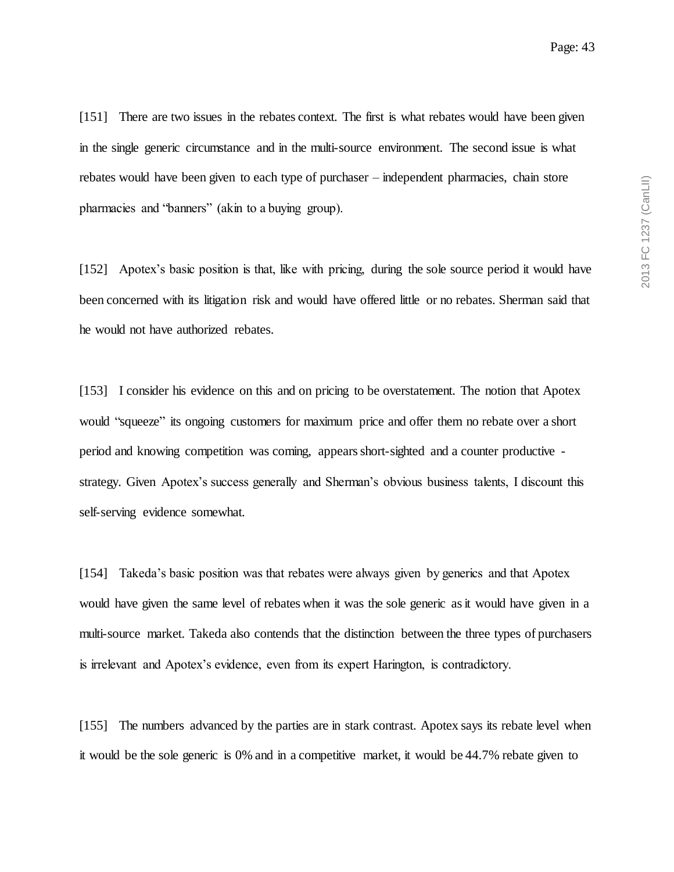[151] There are two issues in the rebates context. The first is what rebates would have been given in the single generic circumstance and in the multi-source environment. The second issue is what rebates would have been given to each type of purchaser – independent pharmacies, chain store pharmacies and "banners" (akin to a buying group).

[152] Apotex's basic position is that, like with pricing, during the sole source period it would have been concerned with its litigation risk and would have offered little or no rebates. Sherman said that he would not have authorized rebates.

[153] I consider his evidence on this and on pricing to be overstatement. The notion that Apotex would "squeeze" its ongoing customers for maximum price and offer them no rebate over a short period and knowing competition was coming, appears short-sighted and a counter productive strategy. Given Apotex's success generally and Sherman's obvious business talents, I discount this self-serving evidence somewhat.

[154] Takeda's basic position was that rebates were always given by generics and that Apotex would have given the same level of rebates when it was the sole generic as it would have given in a multi-source market. Takeda also contends that the distinction between the three types of purchasers is irrelevant and Apotex's evidence, even from its expert Harington, is contradictory.

[155] The numbers advanced by the parties are in stark contrast. Apotex says its rebate level when it would be the sole generic is 0% and in a competitive market, it would be 44.7% rebate given to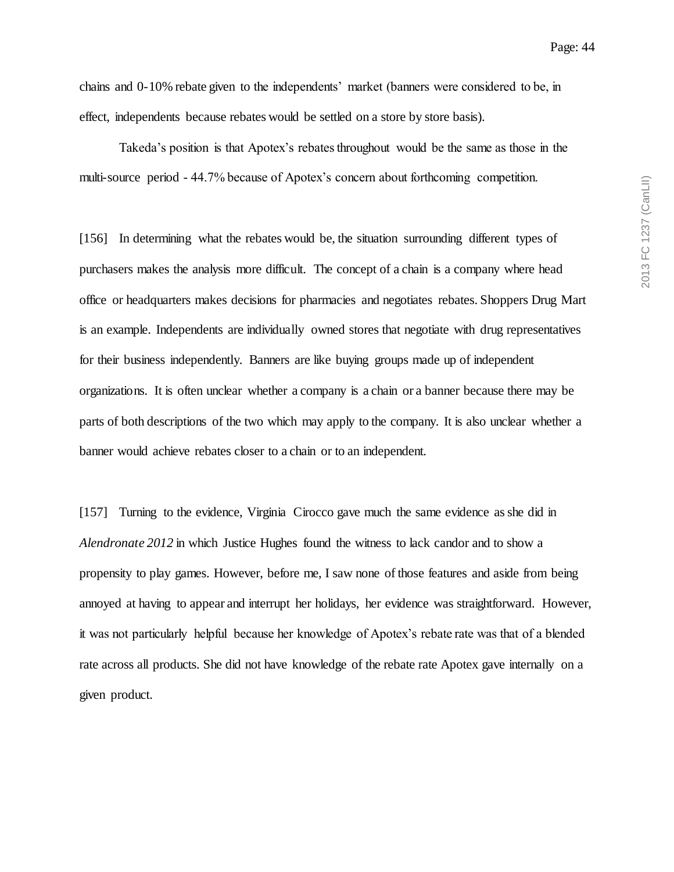chains and 0-10% rebate given to the independents' market (banners were considered to be, in effect, independents because rebates would be settled on a store by store basis).

Takeda's position is that Apotex's rebates throughout would be the same as those in the multi-source period - 44.7% because of Apotex's concern about forthcoming competition.

[156] In determining what the rebates would be, the situation surrounding different types of purchasers makes the analysis more difficult. The concept of a chain is a company where head office or headquarters makes decisions for pharmacies and negotiates rebates. Shoppers Drug Mart is an example. Independents are individually owned stores that negotiate with drug representatives for their business independently. Banners are like buying groups made up of independent organizations. It is often unclear whether a company is a chain or a banner because there may be parts of both descriptions of the two which may apply to the company. It is also unclear whether a banner would achieve rebates closer to a chain or to an independent.

[157] Turning to the evidence, Virginia Cirocco gave much the same evidence as she did in *Alendronate 2012* in which Justice Hughes found the witness to lack candor and to show a propensity to play games. However, before me, I saw none of those features and aside from being annoyed at having to appear and interrupt her holidays, her evidence was straightforward. However, it was not particularly helpful because her knowledge of Apotex's rebate rate was that of a blended rate across all products. She did not have knowledge of the rebate rate Apotex gave internally on a given product.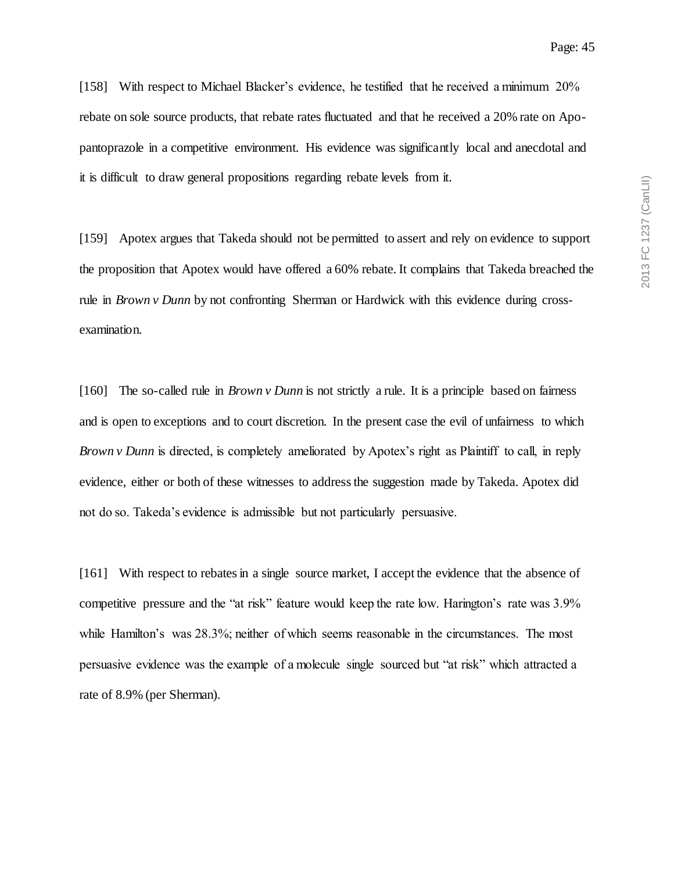[158] With respect to Michael Blacker's evidence, he testified that he received a minimum 20% rebate on sole source products, that rebate rates fluctuated and that he received a 20% rate on Apopantoprazole in a competitive environment. His evidence was significantly local and anecdotal and it is difficult to draw general propositions regarding rebate levels from it.

[159] Apotex argues that Takeda should not be permitted to assert and rely on evidence to support the proposition that Apotex would have offered a 60% rebate. It complains that Takeda breached the rule in *Brown v Dunn* by not confronting Sherman or Hardwick with this evidence during crossexamination.

[160] The so-called rule in *Brown v Dunn* is not strictly a rule. It is a principle based on fairness and is open to exceptions and to court discretion. In the present case the evil of unfairness to which *Brown v Dunn* is directed, is completely ameliorated by Apotex's right as Plaintiff to call, in reply evidence, either or both of these witnesses to address the suggestion made by Takeda. Apotex did not do so. Takeda's evidence is admissible but not particularly persuasive.

[161] With respect to rebates in a single source market, I accept the evidence that the absence of competitive pressure and the "at risk" feature would keep the rate low. Harington's rate was 3.9% while Hamilton's was 28.3%; neither of which seems reasonable in the circumstances. The most persuasive evidence was the example of a molecule single sourced but "at risk" which attracted a rate of 8.9% (per Sherman).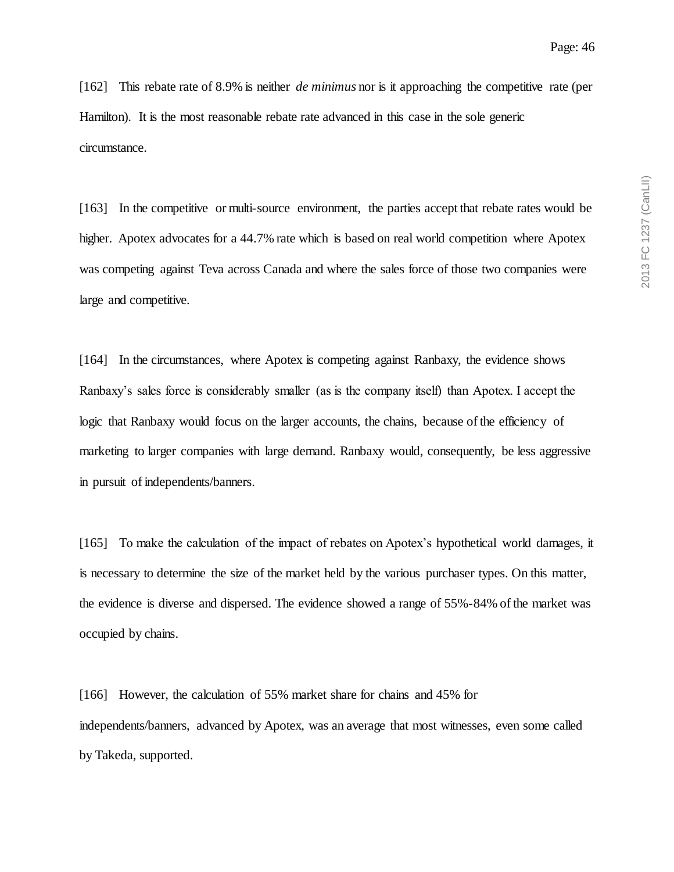[162] This rebate rate of 8.9% is neither *de minimus* nor is it approaching the competitive rate (per Hamilton). It is the most reasonable rebate rate advanced in this case in the sole generic circumstance.

[163] In the competitive or multi-source environment, the parties accept that rebate rates would be higher. Apotex advocates for a 44.7% rate which is based on real world competition where Apotex was competing against Teva across Canada and where the sales force of those two companies were large and competitive.

[164] In the circumstances, where Apotex is competing against Ranbaxy, the evidence shows Ranbaxy's sales force is considerably smaller (as is the company itself) than Apotex. I accept the logic that Ranbaxy would focus on the larger accounts, the chains, because of the efficiency of marketing to larger companies with large demand. Ranbaxy would, consequently, be less aggressive in pursuit of independents/banners.

[165] To make the calculation of the impact of rebates on Apotex's hypothetical world damages, it is necessary to determine the size of the market held by the various purchaser types. On this matter, the evidence is diverse and dispersed. The evidence showed a range of 55%-84% of the market was occupied by chains.

[166] However, the calculation of 55% market share for chains and 45% for independents/banners, advanced by Apotex, was an average that most witnesses, even some called by Takeda, supported.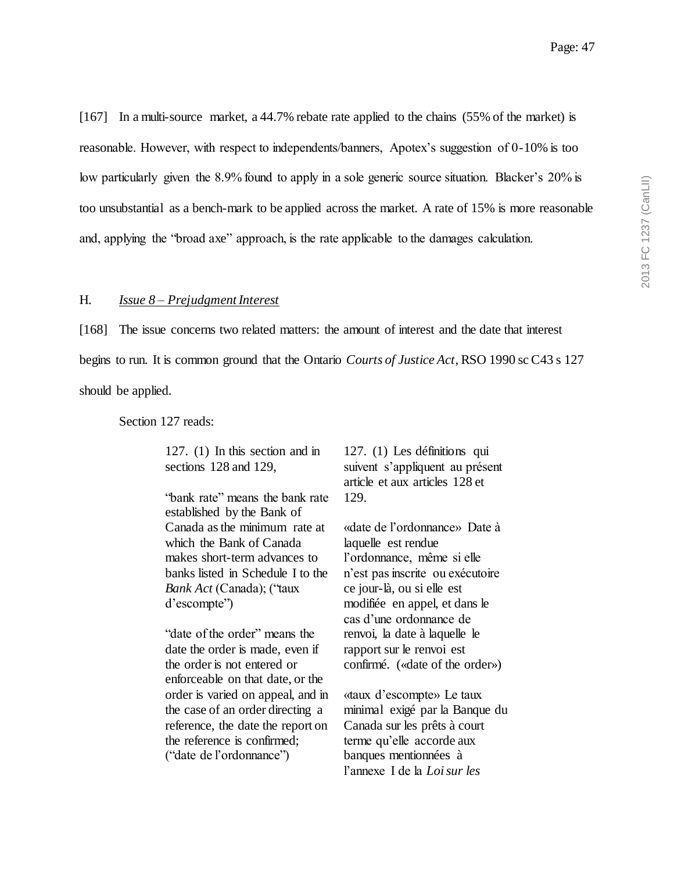[167] In a multi-source market, a 44.7% rebate rate applied to the chains (55% of the market) is reasonable. However, with respect to independents/banners, Apotex's suggestion of 0-10% is too low particularly given the 8.9% found to apply in a sole generic source situation. Blacker's 20% is too unsubstantial as a bench-mark to be applied across the market. A rate of 15% is more reasonable and, applying the "broad axe" approach, is the rate applicable to the damages calculation.

### H. *Issue 8 – Prejudgment Interest*

[168] The issue concerns two related matters: the amount of interest and the date that interest begins to run. It is common ground that the Ontario *Courts of Justice Act*, RSO 1990 sc C43 s 127 should be applied.

Section 127 reads:

127. (1) In this section and in sections 128 and 129,

"bank rate" means the bank rate established by the Bank of Canada as the minimum rate at which the Bank of Canada makes short-term advances to banks listed in Schedule I to the *Bank Act* (Canada); ("taux d'escompte")

"date of the order" means the date the order is made, even if the order is not entered or enforceable on that date, or the order is varied on appeal, and in the case of an order directing a reference, the date the report on the reference is confirmed; ("date de l'ordonnance")

127. (1) Les définitions qui suivent s'appliquent au présent article et aux articles 128 et 129.

«date de l'ordonnance» Date à laquelle est rendue l'ordonnance, même si elle n'est pas inscrite ou exécutoire ce jour-là, ou si elle est modifiée en appel, et dans le cas d'une ordonnance de renvoi, la date à laquelle le rapport sur le renvoi est confirmé. («date of the order»)

«taux d'escompte» Le taux minimal exigé par la Banque du Canada sur les prêts à court terme qu'elle accorde aux banques mentionnées à l'annexe I de la *Loi sur les*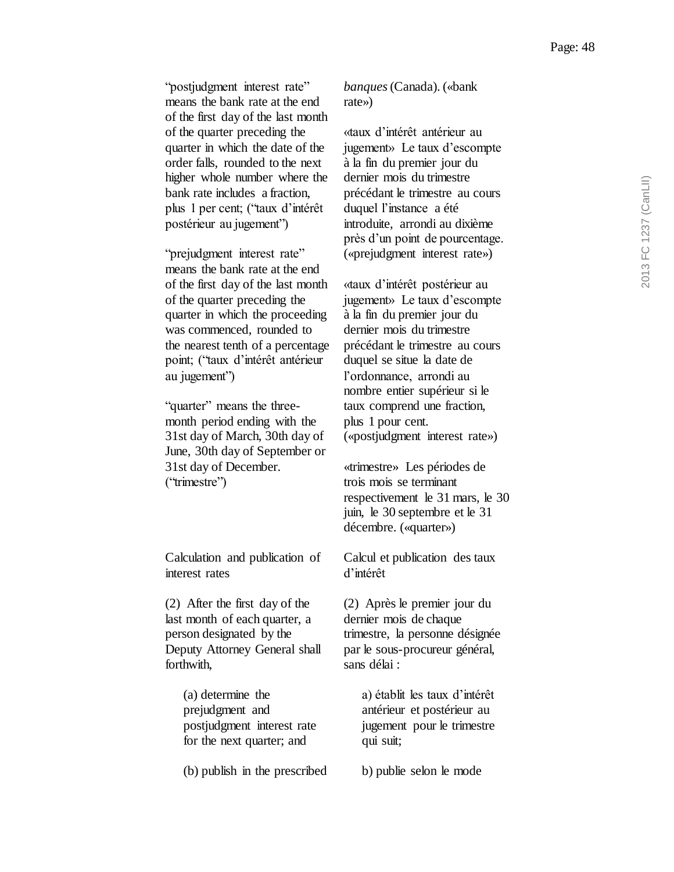"postjudgment interest rate" means the bank rate at the end of the first day of the last month of the quarter preceding the quarter in which the date of the order falls, rounded to the next higher whole number where the bank rate includes a fraction, plus 1 per cent; ("taux d'intérêt postérieur au jugement")

"prejudgment interest rate" means the bank rate at the end of the first day of the last month of the quarter preceding the quarter in which the proceeding was commenced, rounded to the nearest tenth of a percentage point; ("taux d'intérêt antérieur au jugement")

"quarter" means the threemonth period ending with the 31st day of March, 30th day of June, 30th day of September or 31st day of December. ("trimestre")

Calculation and publication of interest rates

(2) After the first day of the last month of each quarter, a person designated by the Deputy Attorney General shall forthwith,

> (a) determine the prejudgment and postjudgment interest rate for the next quarter; and

(b) publish in the prescribed

*banques*(Canada). («bank rate»)

«taux d'intérêt antérieur au jugement» Le taux d'escompte à la fin du premier jour du dernier mois du trimestre précédant le trimestre au cours duquel l'instance a été introduite, arrondi au dixième près d'un point de pourcentage. («prejudgment interest rate»)

«taux d'intérêt postérieur au jugement» Le taux d'escompte à la fin du premier jour du dernier mois du trimestre précédant le trimestre au cours duquel se situe la date de l'ordonnance, arrondi au nombre entier supérieur si le taux comprend une fraction, plus 1 pour cent. («postjudgment interest rate»)

«trimestre» Les périodes de trois mois se terminant respectivement le 31 mars, le 30 juin, le 30 septembre et le 31 décembre. («quarter»)

Calcul et publication des taux d'intérêt

(2) Après le premier jour du dernier mois de chaque trimestre, la personne désignée par le sous-procureur général, sans délai :

> a) établit les taux d'intérêt antérieur et postérieur au jugement pour le trimestre qui suit;

b) publie selon le mode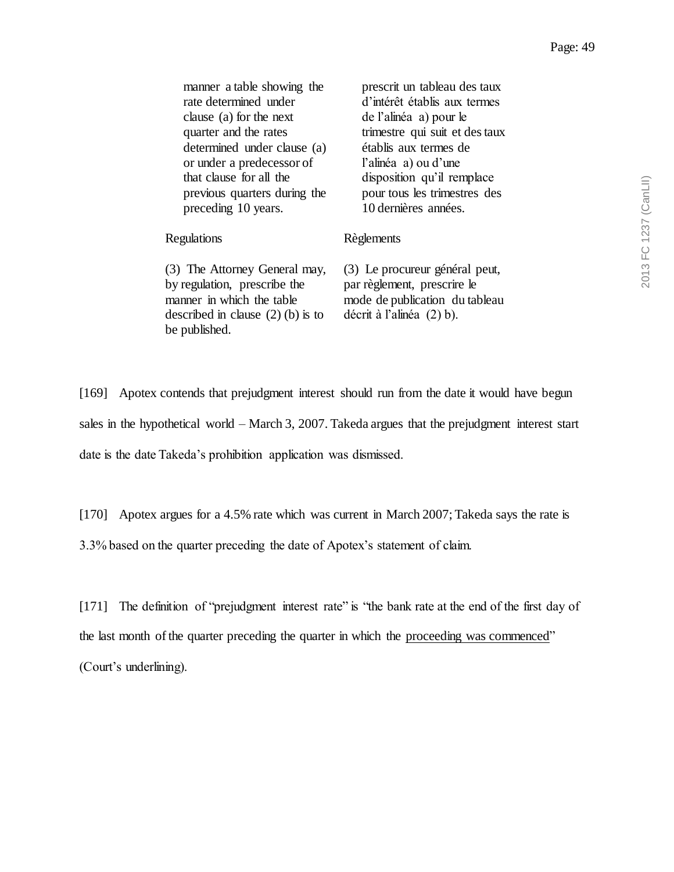| manner a table showing the<br>rate determined under<br>clause (a) for the next<br>quarter and the rates<br>determined under clause (a)<br>or under a predecessor of<br>that clause for all the<br>previous quarters during the<br>preceding 10 years. | prescrit un tableau des taux<br>d'intérêt établis aux termes<br>de l'alinéa a) pour le<br>trimestre qui suit et des taux<br>établis aux termes de<br>l'alinéa a) ou d'une<br>disposition qu'il remplace<br>pour tous les trimestres des<br>10 dernières années. |
|-------------------------------------------------------------------------------------------------------------------------------------------------------------------------------------------------------------------------------------------------------|-----------------------------------------------------------------------------------------------------------------------------------------------------------------------------------------------------------------------------------------------------------------|
| Regulations                                                                                                                                                                                                                                           | Règlements                                                                                                                                                                                                                                                      |
| (3) The Attorney General may,<br>by regulation, prescribe the<br>manner in which the table<br>described in clause $(2)$ (b) is to<br>be published.                                                                                                    | (3) Le procureur général peut,<br>par règlement, prescrire le<br>mode de publication du tableau<br>décrit à l'alinéa $(2)$ b).                                                                                                                                  |

[169] Apotex contends that prejudgment interest should run from the date it would have begun sales in the hypothetical world – March 3, 2007. Takeda argues that the prejudgment interest start date is the date Takeda's prohibition application was dismissed.

[170] Apotex argues for a 4.5% rate which was current in March 2007; Takeda says the rate is

3.3% based on the quarter preceding the date of Apotex's statement of claim.

[171] The definition of "prejudgment interest rate" is "the bank rate at the end of the first day of the last month of the quarter preceding the quarter in which the proceeding was commenced" (Court's underlining).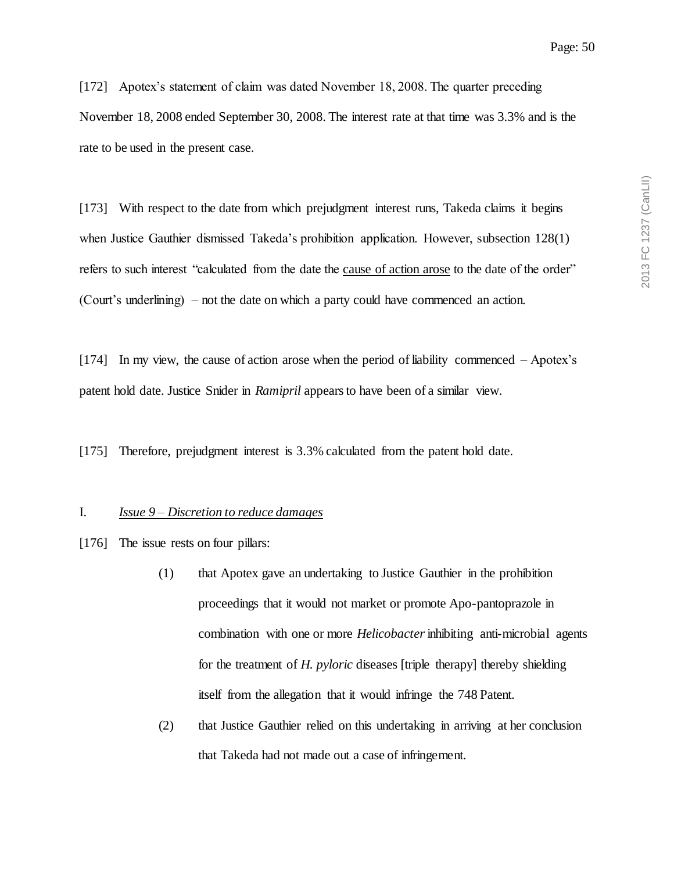[172] Apotex's statement of claim was dated November 18, 2008. The quarter preceding November 18, 2008 ended September 30, 2008. The interest rate at that time was 3.3% and is the rate to be used in the present case.

[173] With respect to the date from which prejudgment interest runs, Takeda claims it begins when Justice Gauthier dismissed Takeda's prohibition application. However, subsection 128(1) refers to such interest "calculated from the date the cause of action arose to the date of the order" (Court's underlining) – not the date on which a party could have commenced an action.

[174] In my view, the cause of action arose when the period of liability commenced – Apotex's patent hold date. Justice Snider in *Ramipril* appears to have been of a similar view.

[175] Therefore, prejudgment interest is 3.3% calculated from the patent hold date.

### I. *Issue 9 – Discretion to reduce damages*

- [176] The issue rests on four pillars:
	- (1) that Apotex gave an undertaking to Justice Gauthier in the prohibition proceedings that it would not market or promote Apo-pantoprazole in combination with one or more *Helicobacter*inhibiting anti-microbial agents for the treatment of *H. pyloric* diseases [triple therapy] thereby shielding itself from the allegation that it would infringe the 748 Patent.
	- (2) that Justice Gauthier relied on this undertaking in arriving at her conclusion that Takeda had not made out a case of infringement.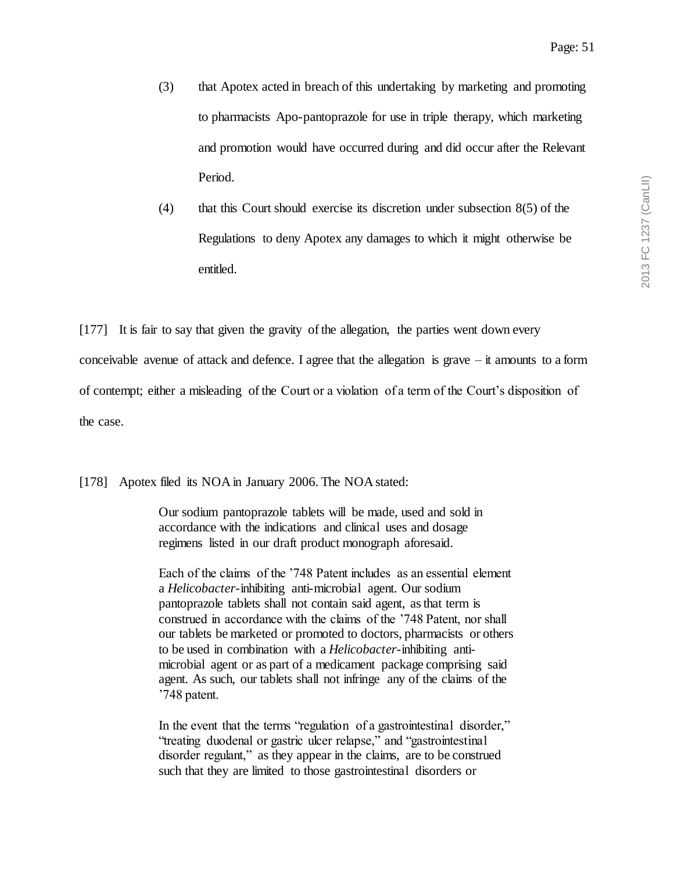- (3) that Apotex acted in breach of this undertaking by marketing and promoting to pharmacists Apo-pantoprazole for use in triple therapy, which marketing and promotion would have occurred during and did occur after the Relevant Period.
- (4) that this Court should exercise its discretion under subsection 8(5) of the Regulations to deny Apotex any damages to which it might otherwise be entitled.

[177] It is fair to say that given the gravity of the allegation, the parties went down every conceivable avenue of attack and defence. I agree that the allegation is grave  $-i$  amounts to a form of contempt; either a misleading of the Court or a violation of a term of the Court's disposition of the case.

[178] Apotex filed its NOA in January 2006. The NOA stated:

Our sodium pantoprazole tablets will be made, used and sold in accordance with the indications and clinical uses and dosage regimens listed in our draft product monograph aforesaid.

Each of the claims of the '748 Patent includes as an essential element a *Helicobacter*-inhibiting anti-microbial agent. Our sodium pantoprazole tablets shall not contain said agent, as that term is construed in accordance with the claims of the '748 Patent, nor shall our tablets be marketed or promoted to doctors, pharmacists or others to be used in combination with a *Helicobacter*-inhibiting antimicrobial agent or as part of a medicament package comprising said agent. As such, our tablets shall not infringe any of the claims of the '748 patent.

In the event that the terms "regulation of a gastrointestinal disorder," "treating duodenal or gastric ulcer relapse," and "gastrointestinal disorder regulant," as they appear in the claims, are to be construed such that they are limited to those gastrointestinal disorders or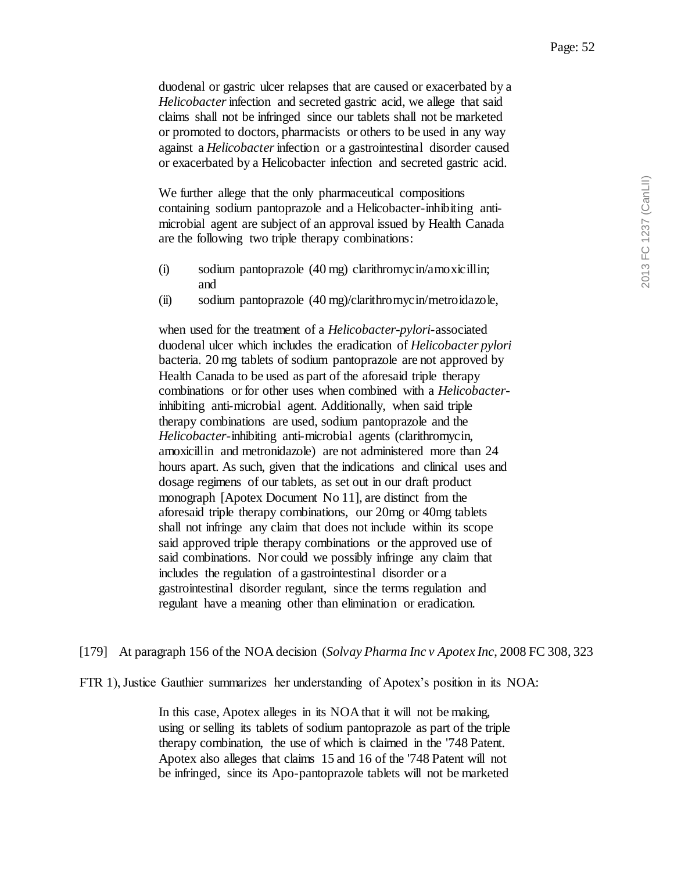duodenal or gastric ulcer relapses that are caused or exacerbated by a *Helicobacter*infection and secreted gastric acid, we allege that said claims shall not be infringed since our tablets shall not be marketed or promoted to doctors, pharmacists or others to be used in any way against a *Helicobacter*infection or a gastrointestinal disorder caused or exacerbated by a Helicobacter infection and secreted gastric acid.

We further allege that the only pharmaceutical compositions containing sodium pantoprazole and a Helicobacter-inhibiting antimicrobial agent are subject of an approval issued by Health Canada are the following two triple therapy combinations:

- (i) sodium pantoprazole (40 mg) clarithromycin/amoxicillin; and
- (ii) sodium pantoprazole (40 mg)/clarithromycin/metroidazole,

when used for the treatment of a *Helicobacter-pylori*-associated duodenal ulcer which includes the eradication of *Helicobacter pylori* bacteria. 20 mg tablets of sodium pantoprazole are not approved by Health Canada to be used as part of the aforesaid triple therapy combinations or for other uses when combined with a *Helicobacter*inhibiting anti-microbial agent. Additionally, when said triple therapy combinations are used, sodium pantoprazole and the *Helicobacter*-inhibiting anti-microbial agents (clarithromycin, amoxicillin and metronidazole) are not administered more than 24 hours apart. As such, given that the indications and clinical uses and dosage regimens of our tablets, as set out in our draft product monograph [Apotex Document No 11], are distinct from the aforesaid triple therapy combinations, our 20mg or 40mg tablets shall not infringe any claim that does not include within its scope said approved triple therapy combinations or the approved use of said combinations. Nor could we possibly infringe any claim that includes the regulation of a gastrointestinal disorder or a gastrointestinal disorder regulant, since the terms regulation and regulant have a meaning other than elimination or eradication.

[179] At paragraph 156 of the NOA decision (*Solvay Pharma Inc v Apotex Inc*, 2008 FC 308, 323

FTR 1), Justice Gauthier summarizes her understanding of Apotex's position in its NOA:

In this case, Apotex alleges in its NOA that it will not be making, using or selling its tablets of sodium pantoprazole as part of the triple therapy combination, the use of which is claimed in the '748 Patent. Apotex also alleges that claims 15 and 16 of the '748 Patent will not be infringed, since its Apo-pantoprazole tablets will not be marketed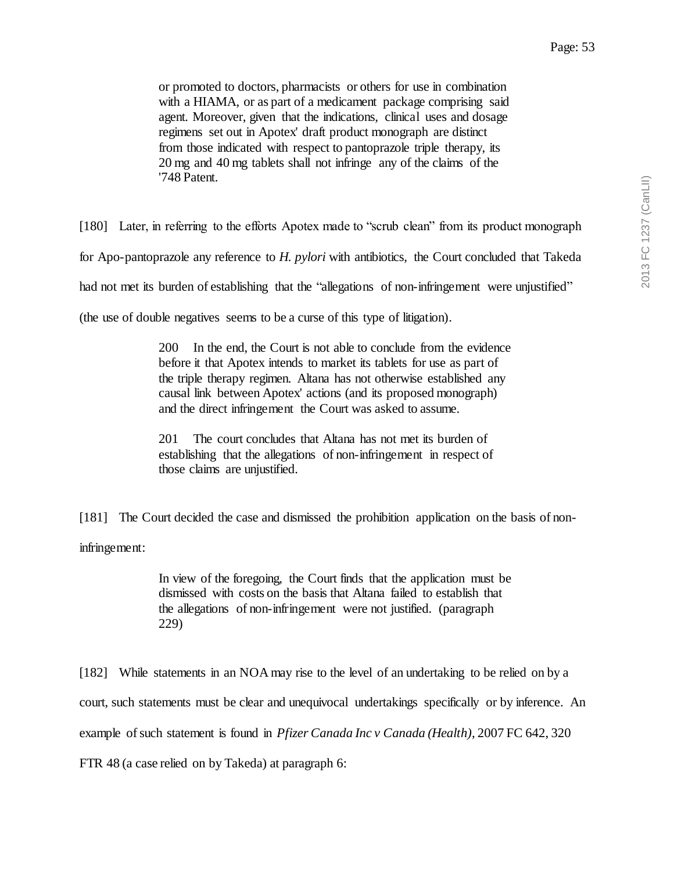or promoted to doctors, pharmacists or others for use in combination with a HIAMA, or as part of a medicament package comprising said agent. Moreover, given that the indications, clinical uses and dosage regimens set out in Apotex' draft product monograph are distinct from those indicated with respect to pantoprazole triple therapy, its 20 mg and 40 mg tablets shall not infringe any of the claims of the '748 Patent.

[180] Later, in referring to the efforts Apotex made to "scrub clean" from its product monograph for Apo-pantoprazole any reference to *H. pylori* with antibiotics, the Court concluded that Takeda had not met its burden of establishing that the "allegations of non-infringement were unjustified"

(the use of double negatives seems to be a curse of this type of litigation).

200 In the end, the Court is not able to conclude from the evidence before it that Apotex intends to market its tablets for use as part of the triple therapy regimen. Altana has not otherwise established any causal link between Apotex' actions (and its proposed monograph) and the direct infringement the Court was asked to assume.

201 The court concludes that Altana has not met its burden of establishing that the allegations of non-infringement in respect of those claims are unjustified.

[181] The Court decided the case and dismissed the prohibition application on the basis of non-

infringement:

In view of the foregoing, the Court finds that the application must be dismissed with costs on the basis that Altana failed to establish that the allegations of non-infringement were not justified. (paragraph 229)

[182] While statements in an NOA may rise to the level of an undertaking to be relied on by a court, such statements must be clear and unequivocal undertakings specifically or by inference. An example of such statement is found in *Pfizer Canada Inc v Canada (Health)*, 2007 FC 642, 320 FTR 48 (a case relied on by Takeda) at paragraph 6: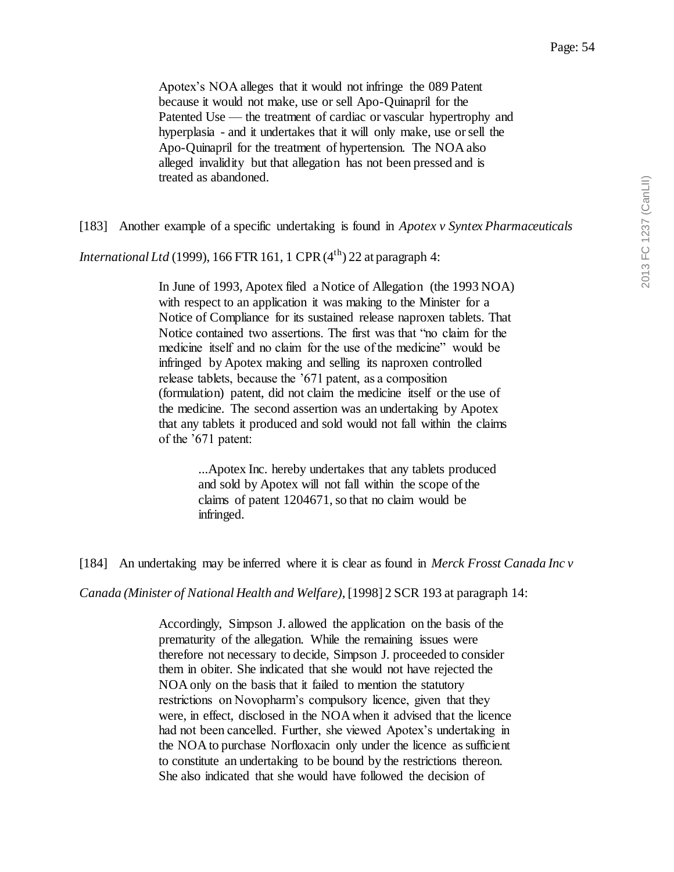Apotex's NOA alleges that it would not infringe the 089 Patent because it would not make, use or sell Apo-Quinapril for the Patented Use — the treatment of cardiac or vascular hypertrophy and hyperplasia - and it undertakes that it will only make, use or sell the Apo-Quinapril for the treatment of hypertension. The NOA also alleged invalidity but that allegation has not been pressed and is treated as abandoned.

[183] Another example of a specific undertaking is found in *Apotex v Syntex Pharmaceuticals* 

*International Ltd* (1999), 166 FTR 161, 1 CPR  $(4<sup>th</sup>)$  22 at paragraph 4:

In June of 1993, Apotex filed a Notice of Allegation (the 1993 NOA) with respect to an application it was making to the Minister for a Notice of Compliance for its sustained release naproxen tablets. That Notice contained two assertions. The first was that "no claim for the medicine itself and no claim for the use of the medicine" would be infringed by Apotex making and selling its naproxen controlled release tablets, because the '671 patent, as a composition (formulation) patent, did not claim the medicine itself or the use of the medicine. The second assertion was an undertaking by Apotex that any tablets it produced and sold would not fall within the claims of the '671 patent:

> ...Apotex Inc. hereby undertakes that any tablets produced and sold by Apotex will not fall within the scope of the claims of patent 1204671, so that no claim would be infringed.

[184] An undertaking may be inferred where it is clear as found in *Merck Frosst Canada Inc v* 

*Canada (Minister of National Health and Welfare)*, [1998] 2 SCR 193 at paragraph 14:

Accordingly, Simpson J. allowed the application on the basis of the prematurity of the allegation. While the remaining issues were therefore not necessary to decide, Simpson J. proceeded to consider them in obiter. She indicated that she would not have rejected the NOA only on the basis that it failed to mention the statutory restrictions on Novopharm's compulsory licence, given that they were, in effect, disclosed in the NOA when it advised that the licence had not been cancelled. Further, she viewed Apotex's undertaking in the NOA to purchase Norfloxacin only under the licence as sufficient to constitute an undertaking to be bound by the restrictions thereon. She also indicated that she would have followed the decision of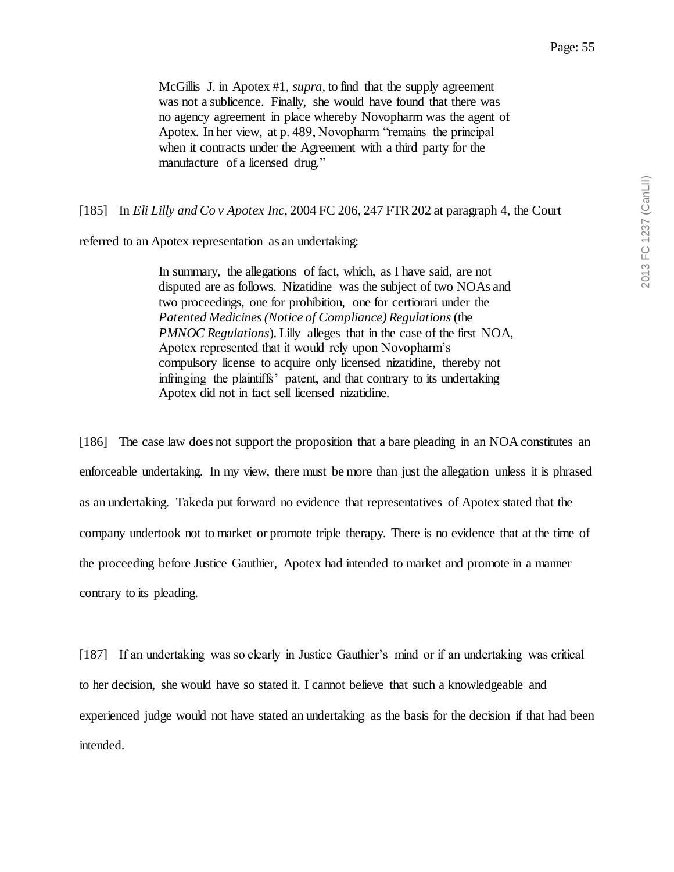McGillis J. in Apotex #1, *supra*, to find that the supply agreement was not a sublicence. Finally, she would have found that there was no agency agreement in place whereby Novopharm was the agent of Apotex. In her view, at p. 489, Novopharm "remains the principal when it contracts under the Agreement with a third party for the manufacture of a licensed drug."

[185] In *Eli Lilly and Co v Apotex Inc*, 2004 FC 206, 247 FTR 202 at paragraph 4, the Court

referred to an Apotex representation as an undertaking:

In summary, the allegations of fact, which, as I have said, are not disputed are as follows. Nizatidine was the subject of two NOAs and two proceedings, one for prohibition, one for certiorari under the *Patented Medicines (Notice of Compliance) Regulations*(the *PMNOC Regulations*). Lilly alleges that in the case of the first NOA, Apotex represented that it would rely upon Novopharm's compulsory license to acquire only licensed nizatidine, thereby not infringing the plaintiffs' patent, and that contrary to its undertaking Apotex did not in fact sell licensed nizatidine.

[186] The case law does not support the proposition that a bare pleading in an NOA constitutes an enforceable undertaking. In my view, there must be more than just the allegation unless it is phrased as an undertaking. Takeda put forward no evidence that representatives of Apotex stated that the company undertook not to market or promote triple therapy. There is no evidence that at the time of the proceeding before Justice Gauthier, Apotex had intended to market and promote in a manner contrary to its pleading.

[187] If an undertaking was so clearly in Justice Gauthier's mind or if an undertaking was critical to her decision, she would have so stated it. I cannot believe that such a knowledgeable and experienced judge would not have stated an undertaking as the basis for the decision if that had been intended.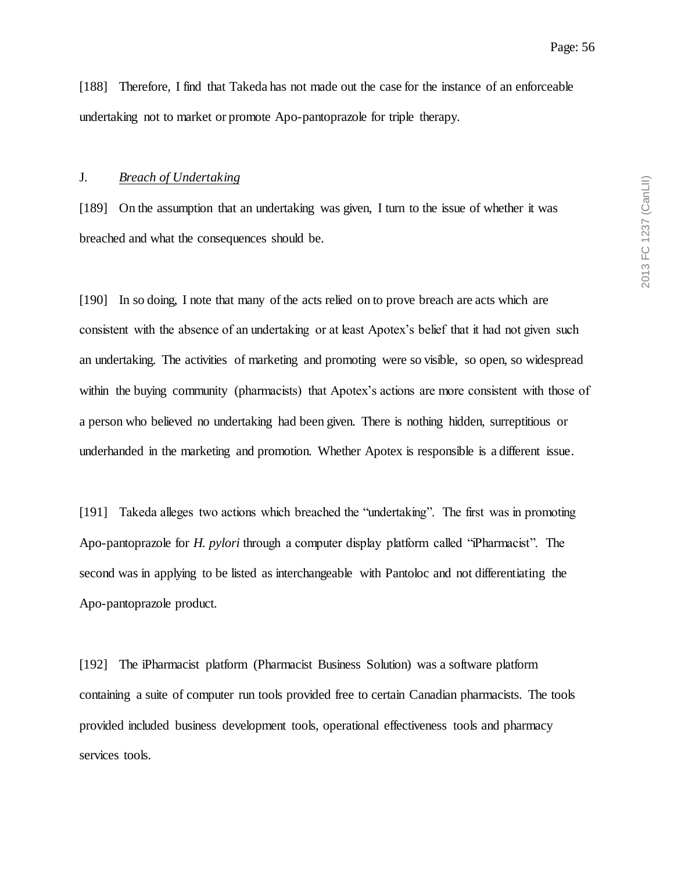[188] Therefore, I find that Takeda has not made out the case for the instance of an enforceable undertaking not to market or promote Apo-pantoprazole for triple therapy.

#### J. *Breach of Undertaking*

[189] On the assumption that an undertaking was given, I turn to the issue of whether it was breached and what the consequences should be.

[190] In so doing, I note that many of the acts relied on to prove breach are acts which are consistent with the absence of an undertaking or at least Apotex's belief that it had not given such an undertaking. The activities of marketing and promoting were so visible, so open, so widespread within the buying community (pharmacists) that Apotex's actions are more consistent with those of a person who believed no undertaking had been given. There is nothing hidden, surreptitious or underhanded in the marketing and promotion. Whether Apotex is responsible is a different issue.

[191] Takeda alleges two actions which breached the "undertaking". The first was in promoting Apo-pantoprazole for *H. pylori* through a computer display platform called "iPharmacist". The second was in applying to be listed as interchangeable with Pantoloc and not differentiating the Apo-pantoprazole product.

[192] The iPharmacist platform (Pharmacist Business Solution) was a software platform containing a suite of computer run tools provided free to certain Canadian pharmacists. The tools provided included business development tools, operational effectiveness tools and pharmacy services tools.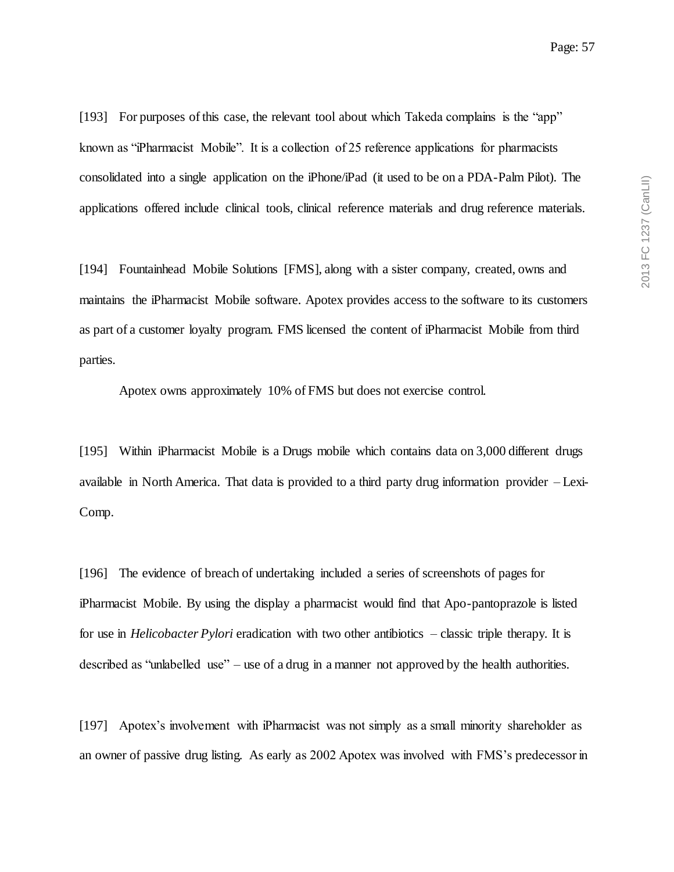[193] For purposes of this case, the relevant tool about which Takeda complains is the "app" known as "iPharmacist Mobile". It is a collection of 25 reference applications for pharmacists consolidated into a single application on the iPhone/iPad (it used to be on a PDA-Palm Pilot). The applications offered include clinical tools, clinical reference materials and drug reference materials.

[194] Fountainhead Mobile Solutions [FMS], along with a sister company, created, owns and maintains the iPharmacist Mobile software. Apotex provides access to the software to its customers as part of a customer loyalty program. FMS licensed the content of iPharmacist Mobile from third parties.

Apotex owns approximately 10% of FMS but does not exercise control.

[195] Within iPharmacist Mobile is a Drugs mobile which contains data on 3,000 different drugs available in North America. That data is provided to a third party drug information provider – Lexi-Comp.

[196] The evidence of breach of undertaking included a series of screenshots of pages for iPharmacist Mobile. By using the display a pharmacist would find that Apo-pantoprazole is listed for use in *Helicobacter Pylori* eradication with two other antibiotics – classic triple therapy. It is described as "unlabelled use" – use of a drug in a manner not approved by the health authorities.

[197] Apotex's involvement with iPharmacist was not simply as a small minority shareholder as an owner of passive drug listing. As early as 2002 Apotex was involved with FMS's predecessor in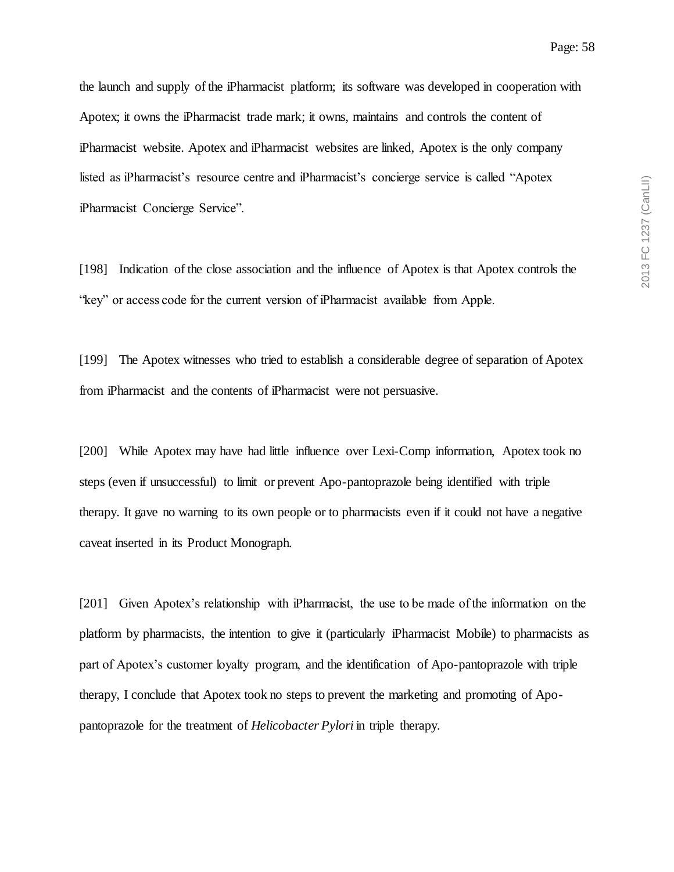the launch and supply of the iPharmacist platform; its software was developed in cooperation with Apotex; it owns the iPharmacist trade mark; it owns, maintains and controls the content of iPharmacist website. Apotex and iPharmacist websites are linked, Apotex is the only company listed as iPharmacist's resource centre and iPharmacist's concierge service is called "Apotex iPharmacist Concierge Service".

[198] Indication of the close association and the influence of Apotex is that Apotex controls the "key" or access code for the current version of iPharmacist available from Apple.

[199] The Apotex witnesses who tried to establish a considerable degree of separation of Apotex from iPharmacist and the contents of iPharmacist were not persuasive.

[200] While Apotex may have had little influence over Lexi-Comp information, Apotex took no steps (even if unsuccessful) to limit or prevent Apo-pantoprazole being identified with triple therapy. It gave no warning to its own people or to pharmacists even if it could not have a negative caveat inserted in its Product Monograph.

[201] Given Apotex's relationship with iPharmacist, the use to be made of the information on the platform by pharmacists, the intention to give it (particularly iPharmacist Mobile) to pharmacists as part of Apotex's customer loyalty program, and the identification of Apo-pantoprazole with triple therapy, I conclude that Apotex took no steps to prevent the marketing and promoting of Apopantoprazole for the treatment of *Helicobacter Pylori* in triple therapy.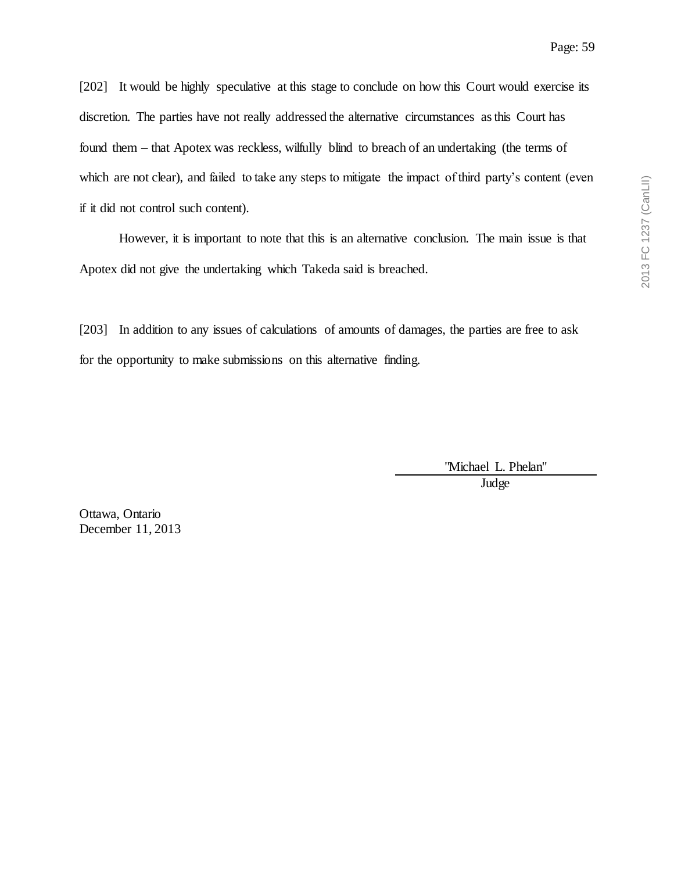[202] It would be highly speculative at this stage to conclude on how this Court would exercise its discretion. The parties have not really addressed the alternative circumstances as this Court has found them – that Apotex was reckless, wilfully blind to breach of an undertaking (the terms of which are not clear), and failed to take any steps to mitigate the impact of third party's content (even if it did not control such content).

However, it is important to note that this is an alternative conclusion. The main issue is that Apotex did not give the undertaking which Takeda said is breached.

[203] In addition to any issues of calculations of amounts of damages, the parties are free to ask for the opportunity to make submissions on this alternative finding.

> "Michael L. Phelan" Judge

Ottawa, Ontario December 11, 2013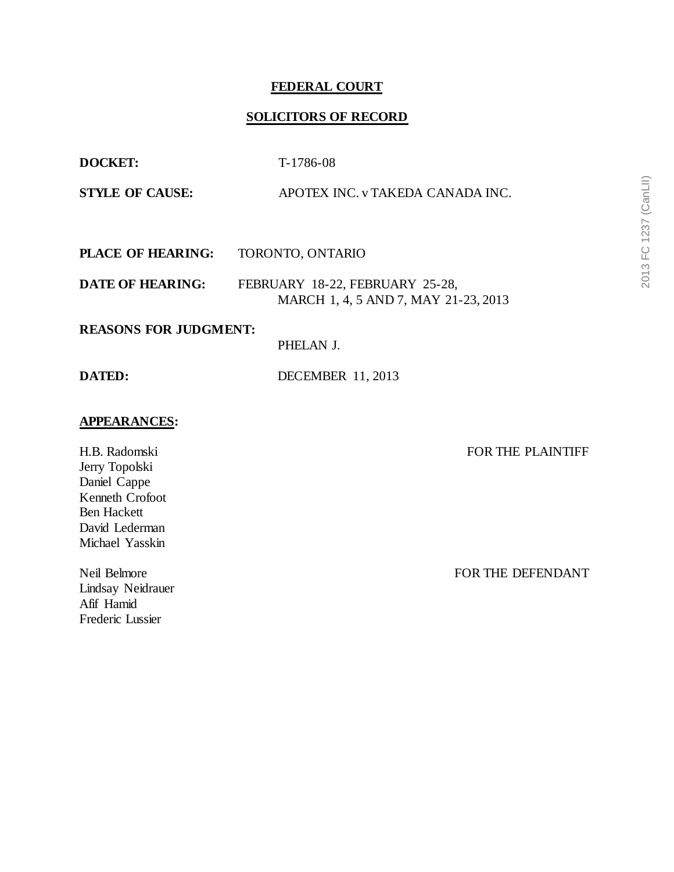## **FEDERAL COURT**

# **SOLICITORS OF RECORD**

| <b>DOCKET:</b>               | T-1786-08                                                               |  |
|------------------------------|-------------------------------------------------------------------------|--|
| <b>STYLE OF CAUSE:</b>       | APOTEX INC. v TAKEDA CANADA INC.                                        |  |
|                              |                                                                         |  |
| <b>PLACE OF HEARING:</b>     | TORONTO, ONTARIO                                                        |  |
| <b>DATE OF HEARING:</b>      | FEBRUARY 18-22, FEBRUARY 25-28,<br>MARCH 1, 4, 5 AND 7, MAY 21-23, 2013 |  |
| <b>REASONS FOR JUDGMENT:</b> |                                                                         |  |
|                              | PHELAN J.                                                               |  |
| DATED:                       | <b>DECEMBER 11, 2013</b>                                                |  |
|                              |                                                                         |  |

### **APPEARANCES:**

H.B. Radomski Jerry Topolski Daniel Cappe Kenneth Crofoot Ben Hackett David Lederman Michael Yasskin

Neil Belmore Lindsay Neidrauer Afif Hamid Frederic Lussier

FOR THE PLAINTIFF

FOR THE DEFENDANT